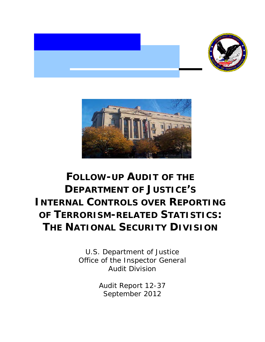



# **FOLLOW-UP AUDIT OF THE DEPARTMENT OF JUSTICE'S INTERNAL CONTROLS OVER REPORTING OF TERRORISM-RELATED STATISTICS: THE NATIONAL SECURITY DIVISION**

U.S. Department of Justice Office of the Inspector General Audit Division

> Audit Report 12-37 September 2012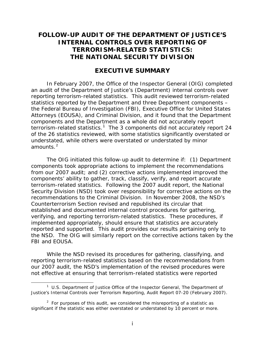# **FOLLOW-UP AUDIT OF THE DEPARTMENT OF JUSTICE'S INTERNAL CONTROLS OVER REPORTING OF TERRORISM-RELATED STATISTICS: THE NATIONAL SECURITY DIVISION**

# **EXECUTIVE SUMMARY**

In February 2007, the Office of the Inspector General (OIG) completed an audit of the Department of Justice's (Department) internal controls over reporting terrorism-related statistics. This audit reviewed terrorism-related statistics reported by the Department and three Department components – the Federal Bureau of Investigation (FBI), Executive Office for United States Attorneys (EOUSA), and Criminal Division, and it found that the Department components and the Department as a whole did not accurately report terrorism-related statistics.<sup>[1](#page-1-0)</sup> The 3 components did not accurately report 24 of the 26 statistics reviewed, with some statistics significantly overstated or understated, while others were overstated or understated by minor amounts. $^2\,$  $^2\,$  $^2\,$ 

The OIG initiated this follow-up audit to determine if: (1) Department components took appropriate actions to implement the recommendations from our 2007 audit; and (2) corrective actions implemented improved the components' ability to gather, track, classify, verify, and report accurate terrorism-related statistics. Following the 2007 audit report, the National Security Division (NSD) took over responsibility for corrective actions on the recommendations to the Criminal Division. In November 2008, the NSD's Counterterrorism Section revised and republished its circular that established and documented internal control procedures for gathering, verifying, and reporting terrorism-related statistics. These procedures, if implemented appropriately, should ensure that statistics are accurately reported and supported. This audit provides our results pertaining only to the NSD. The OIG will similarly report on the corrective actions taken by the FBI and EOUSA.

While the NSD revised its procedures for gathering, classifying, and reporting terrorism-related statistics based on the recommendations from our 2007 audit, the NSD's implementation of the revised procedures were not effective at ensuring that terrorism-related statistics were reported

<span id="page-1-0"></span><sup>1</sup> U.S. Department of Justice Office of the Inspector General, *The Department of Justice's Internal Controls over Terrorism Reporting*, Audit Report 07-20 (February 2007).

<span id="page-1-1"></span> $2$  For purposes of this audit, we considered the misreporting of a statistic as significant if the statistic was either overstated or understated by 10 percent or more.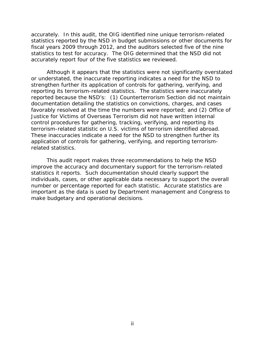accurately. In this audit, the OIG identified nine unique terrorism-related statistics reported by the NSD in budget submissions or other documents for fiscal years 2009 through 2012, and the auditors selected five of the nine statistics to test for accuracy. The OIG determined that the NSD did not accurately report four of the five statistics we reviewed.

Although it appears that the statistics were not significantly overstated or understated, the inaccurate reporting indicates a need for the NSD to strengthen further its application of controls for gathering, verifying, and reporting its terrorism-related statistics. The statistics were inaccurately reported because the NSD's: (1) Counterterrorism Section did not maintain documentation detailing the statistics on convictions, charges, and cases favorably resolved at the time the numbers were reported; and (2) Office of Justice for Victims of Overseas Terrorism did not have written internal control procedures for gathering, tracking, verifying, and reporting its terrorism-related statistic on U.S. victims of terrorism identified abroad. These inaccuracies indicate a need for the NSD to strengthen further its application of controls for gathering, verifying, and reporting terrorismrelated statistics.

This audit report makes three recommendations to help the NSD improve the accuracy and documentary support for the terrorism-related statistics it reports. Such documentation should clearly support the individuals, cases, or other applicable data necessary to support the overall number or percentage reported for each statistic. Accurate statistics are important as the data is used by Department management and Congress to make budgetary and operational decisions.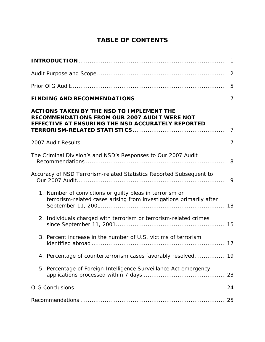# **TABLE OF CONTENTS**

|                                                                                                                                                              | $\mathbf{1}$   |
|--------------------------------------------------------------------------------------------------------------------------------------------------------------|----------------|
|                                                                                                                                                              | 2              |
|                                                                                                                                                              | 5              |
|                                                                                                                                                              | $\overline{7}$ |
| <b>ACTIONS TAKEN BY THE NSD TO IMPLEMENT THE</b><br><b>RECOMMENDATIONS FROM OUR 2007 AUDIT WERE NOT</b><br>EFFECTIVE AT ENSURING THE NSD ACCURATELY REPORTED | 7              |
|                                                                                                                                                              | $\overline{7}$ |
| The Criminal Division's and NSD's Responses to Our 2007 Audit                                                                                                | 8              |
| Accuracy of NSD Terrorism-related Statistics Reported Subsequent to                                                                                          | 9              |
| 1. Number of convictions or guilty pleas in terrorism or<br>terrorism-related cases arising from investigations primarily after                              | 13             |
| 2. Individuals charged with terrorism or terrorism-related crimes                                                                                            |                |
| 3. Percent increase in the number of U.S. victims of terrorism                                                                                               |                |
| 4. Percentage of counterterrorism cases favorably resolved 19                                                                                                |                |
| 5. Percentage of Foreign Intelligence Surveillance Act emergency                                                                                             | 23             |
|                                                                                                                                                              | 24             |
|                                                                                                                                                              | 25             |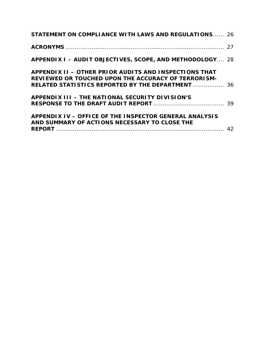| <b>STATEMENT ON COMPLIANCE WITH LAWS AND REGULATIONS 26</b>                                                                                                             |  |
|-------------------------------------------------------------------------------------------------------------------------------------------------------------------------|--|
|                                                                                                                                                                         |  |
| APPENDIX I - AUDIT OBJECTIVES, SCOPE, AND METHODOLOGY 28                                                                                                                |  |
| APPENDIX II - OTHER PRIOR AUDITS AND INSPECTIONS THAT<br>REVIEWED OR TOUCHED UPON THE ACCURACY OF TERRORISM-<br><b>RELATED STATISTICS REPORTED BY THE DEPARTMENT 36</b> |  |
| APPENDIX III - THE NATIONAL SECURITY DIVISION'S                                                                                                                         |  |
| APPENDIX IV - OFFICE OF THE INSPECTOR GENERAL ANALYSIS<br>AND SUMMARY OF ACTIONS NECESSARY TO CLOSE THE                                                                 |  |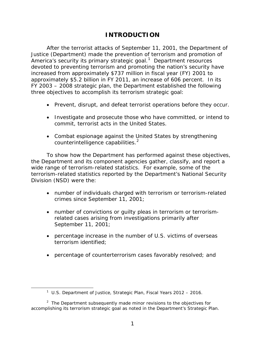# **INTRODUCTION**

After the terrorist attacks of September 11, 2001, the Department of Justice (Department) made the prevention of terrorism and promotion of America's security its primary strategic goal.<sup>[1](#page-5-0)</sup> Department resources devoted to preventing terrorism and promoting the nation's security have increased from approximately \$737 million in fiscal year (FY) 2001 to approximately \$5.2 billion in FY 2011, an increase of 606 percent. In its FY 2003 – 2008 strategic plan, the Department established the following three objectives to accomplish its terrorism strategic goal:

- Prevent, disrupt, and defeat terrorist operations before they occur.
- Investigate and prosecute those who have committed, or intend to commit, terrorist acts in the United States.
- Combat espionage against the United States by strengthening counterintelligence capabilities.<sup>[2](#page-5-1)</sup>

To show how the Department has performed against these objectives, the Department and its component agencies gather, classify, and report a wide range of terrorism-related statistics. For example, some of the terrorism-related statistics reported by the Department's National Security Division (NSD) were the:

- number of individuals charged with terrorism or terrorism-related crimes since September 11, 2001;
- number of convictions or guilty pleas in terrorism or terrorismrelated cases arising from investigations primarily after September 11, 2001;
- percentage increase in the number of U.S. victims of overseas terrorism identified;
- percentage of counterterrorism cases favorably resolved; and

<sup>&</sup>lt;sup>1</sup> U.S. Department of Justice, Strategic Plan, Fiscal Years 2012 - 2016.

<span id="page-5-1"></span><span id="page-5-0"></span> $2$  The Department subsequently made minor revisions to the objectives for accomplishing its terrorism strategic goal as noted in the Department's Strategic Plan.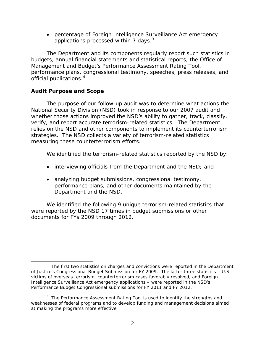• percentage of Foreign Intelligence Surveillance Act emergency applications processed within 7 days. $^3$  $^3$ 

The Department and its components regularly report such statistics in budgets, annual financial statements and statistical reports, the Office of Management and Budget's Performance Assessment Rating Tool, performance plans, congressional testimony, speeches, press releases, and official publications.[4](#page-6-1)

# **Audit Purpose and Scope**

The purpose of our follow-up audit was to determine what actions the National Security Division (NSD) took in response to our 2007 audit and whether those actions improved the NSD's ability to gather, track, classify, verify, and report accurate terrorism-related statistics. The Department relies on the NSD and other components to implement its counterterrorism strategies. The NSD collects a variety of terrorism-related statistics measuring these counterterrorism efforts.

We identified the terrorism-related statistics reported by the NSD by:

- interviewing officials from the Department and the NSD; and
- analyzing budget submissions, congressional testimony, performance plans, and other documents maintained by the Department and the NSD.

 We identified the following 9 unique terrorism-related statistics that were reported by the NSD 17 times in budget submissions or other documents for FYs 2009 through 2012.

<span id="page-6-0"></span> $\overline{a}$  $3$  The first two statistics on charges and convictions were reported in the Department of Justice's Congressional Budget Submission for FY 2009. The latter three statistics – U.S. victims of overseas terrorism, counterterrorism cases favorably resolved, and Foreign Intelligence Surveillance Act emergency applications – were reported in the NSD's Performance Budget Congressional submissions for FY 2011 and FY 2012.

<span id="page-6-1"></span> <sup>4</sup>  $<sup>4</sup>$  The Performance Assessment Rating Tool is used to identify the strengths and</sup> weaknesses of federal programs and to develop funding and management decisions aimed at making the programs more effective.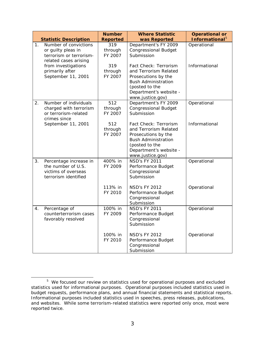|    |                                                                                                 | <b>Number</b>             | <b>Where Statistic</b>                                                                                                                                              | <b>Operational or</b>      |
|----|-------------------------------------------------------------------------------------------------|---------------------------|---------------------------------------------------------------------------------------------------------------------------------------------------------------------|----------------------------|
|    | <b>Statistic Description</b>                                                                    | <b>Reported</b>           | was Reported                                                                                                                                                        | Informational <sup>5</sup> |
| 1. | Number of convictions<br>or guilty pleas in<br>terrorism or terrorism-<br>related cases arising | 319<br>through<br>FY 2007 | Department's FY 2009<br><b>Congressional Budget</b><br>Submission                                                                                                   | Operational                |
|    | from investigations<br>primarily after<br>September 11, 2001                                    | 319<br>through<br>FY 2007 | Fact Check: Terrorism<br>and Terrorism Related<br>Prosecutions by the<br><b>Bush Administration</b><br>(posted to the<br>Department's website -<br>www.justice.gov) | Informational              |
| 2. | Number of individuals<br>charged with terrorism<br>or terrorism-related<br>crimes since         | 512<br>through<br>FY 2007 | Department's FY 2009<br><b>Congressional Budget</b><br>Submission                                                                                                   | Operational                |
|    | September 11, 2001                                                                              | 512<br>through<br>FY 2007 | Fact Check: Terrorism<br>and Terrorism Related<br>Prosecutions by the<br><b>Bush Administration</b><br>(posted to the<br>Department's website -<br>www.justice.gov) | Informational              |
| 3. | Percentage increase in<br>the number of U.S.<br>victims of overseas<br>terrorism identified     | 400% in<br>FY 2009        | <b>NSD's FY 2011</b><br>Performance Budget<br>Congressional<br>Submission                                                                                           | Operational                |
|    |                                                                                                 | 113% in<br>FY 2010        | <b>NSD's FY 2012</b><br>Performance Budget<br>Congressional<br>Submission                                                                                           | Operational                |
| 4. | Percentage of<br>counterterrorism cases<br>favorably resolved                                   | 100% in<br>FY 2009        | <b>NSD's FY 2011</b><br>Performance Budget<br>Congressional<br>Submission                                                                                           | Operational                |
|    |                                                                                                 | 100% in<br>FY 2010        | <b>NSD's FY 2012</b><br>Performance Budget<br>Congressional<br>Submission                                                                                           | Operational                |

<span id="page-7-0"></span><sup>&</sup>lt;sup>5</sup> We focused our review on statistics used for operational purposes and excluded statistics used for informational purposes. Operational purposes included statistics used in budget requests, performance plans, and annual financial statements and statistical reports. Informational purposes included statistics used in speeches, press releases, publications, and websites. While some terrorism-related statistics were reported only once, most were reported twice.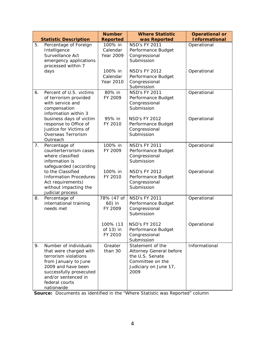|    | <b>Statistic Description</b>                                                                                                                                                                            | <b>Number</b><br><b>Reported</b>        | <b>Where Statistic</b><br>was Reported                                                                              | <b>Operational or</b><br><b>Informational</b> |
|----|---------------------------------------------------------------------------------------------------------------------------------------------------------------------------------------------------------|-----------------------------------------|---------------------------------------------------------------------------------------------------------------------|-----------------------------------------------|
| 5. | Percentage of Foreign<br>Intelligence<br>Surveillance Act<br>emergency applications<br>processed within 7                                                                                               | 100% in<br>Calendar<br>Year 2009        | <b>NSD's FY 2011</b><br>Performance Budget<br>Congressional<br>Submission                                           | Operational                                   |
|    | days                                                                                                                                                                                                    | 100% in<br>Calendar<br><b>Year 2010</b> | <b>NSD's FY 2012</b><br>Performance Budget<br>Congressional<br>Submission                                           | Operational                                   |
| 6. | Percent of U.S. victims<br>of terrorism provided<br>with service and<br>compensation<br>information within 3                                                                                            | 80% in<br>FY 2009                       | <b>NSD's FY 2011</b><br>Performance Budget<br>Congressional<br>Submission                                           | Operational                                   |
|    | business days of victim<br>response to Office of<br>Justice for Victims of<br>Overseas Terrorism<br>Outreach                                                                                            | 95% in<br>FY 2010                       | <b>NSD's FY 2012</b><br>Performance Budget<br>Congressional<br>Submission                                           | Operational                                   |
| 7. | Percentage of<br>counterterrorism cases<br>where classified<br>information is<br>safeguarded (according                                                                                                 | 100% in<br>FY 2009                      | <b>NSD's FY 2011</b><br>Performance Budget<br>Congressional<br>Submission                                           | Operational                                   |
|    | to the Classified<br><b>Information Procedures</b><br>Act requirements)<br>without impacting the<br>judicial process                                                                                    | 100% in<br>FY 2010                      | <b>NSD's FY 2012</b><br>Performance Budget<br>Congressional<br>Submission                                           | Operational                                   |
| 8. | Percentage of<br>international training<br>needs met                                                                                                                                                    | 78% (47 of<br>60) in<br>FY 2009         | <b>NSD's FY 2011</b><br>Performance Budget<br>Congressional<br>Submission                                           | Operational                                   |
|    |                                                                                                                                                                                                         | 100% (13<br>of 13) in<br>FY 2010        | NSD's FY 2012<br>Performance Budget<br>Congressional<br>Submission                                                  | Operational                                   |
| 9. | Number of individuals<br>that were charged with<br>terrorism violations<br>from January to June<br>2009 and have been<br>successfully prosecuted<br>and/or sentenced in<br>federal courts<br>nationwide | Greater<br>than 30                      | Statement of the<br>Attorney General before<br>the U.S. Senate<br>Committee on the<br>Judiciary on June 17,<br>2009 | Informational                                 |

 **Source:** Documents as identified in the "Where Statistic was Reported" column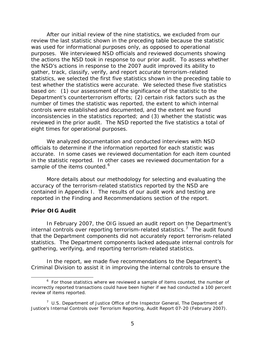After our initial review of the nine statistics, we excluded from our review the last statistic shown in the preceding table because the statistic was used for informational purposes only, as opposed to operational purposes. We interviewed NSD officials and reviewed documents showing the actions the NSD took in response to our prior audit. To assess whether the NSD's actions in response to the 2007 audit improved its ability to gather, track, classify, verify, and report accurate terrorism-related statistics, we selected the first five statistics shown in the preceding table to test whether the statistics were accurate. We selected these five statistics based on: (1) our assessment of the significance of the statistic to the Department's counterterrorism efforts; (2) certain risk factors such as the number of times the statistic was reported, the extent to which internal controls were established and documented, and the extent we found inconsistencies in the statistics reported; and (3) whether the statistic was reviewed in the prior audit. The NSD reported the five statistics a total of eight times for operational purposes.

We analyzed documentation and conducted interviews with NSD officials to determine if the information reported for each statistic was accurate. In some cases we reviewed documentation for each item counted in the statistic reported. In other cases we reviewed documentation for a sample of the items counted.<sup>[6](#page-9-0)</sup>

More details about our methodology for selecting and evaluating the accuracy of the terrorism-related statistics reported by the NSD are contained in Appendix I. The results of our audit work and testing are reported in the Finding and Recommendations section of the report.

#### **Prior OIG Audit**

 $\overline{a}$ 

In February 2007, the OIG issued an audit report on the Department's internal controls over reporting terrorism-related statistics.<sup>[7](#page-9-1)</sup> The audit found that the Department components did not accurately report terrorism-related statistics. The Department components lacked adequate internal controls for gathering, verifying, and reporting terrorism-related statistics.

In the report, we made five recommendations to the Department's Criminal Division to assist it in improving the internal controls to ensure the

<span id="page-9-0"></span><sup>&</sup>lt;sup>6</sup> For those statistics where we reviewed a sample of items counted, the number of incorrectly reported transactions could have been higher if we had conducted a 100 percent review of items reported.

<span id="page-9-1"></span> <sup>7</sup> U.S. Department of Justice Office of the Inspector General, *The Department of Justice's Internal Controls over Terrorism Reporting*, Audit Report 07-20 (February 2007).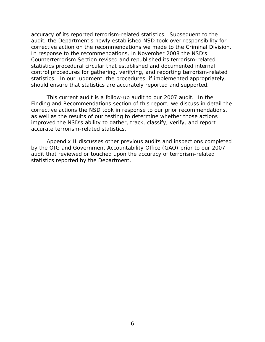accuracy of its reported terrorism-related statistics. Subsequent to the audit, the Department's newly established NSD took over responsibility for corrective action on the recommendations we made to the Criminal Division. In response to the recommendations, in November 2008 the NSD's Counterterrorism Section revised and republished its terrorism-related statistics procedural circular that established and documented internal control procedures for gathering, verifying, and reporting terrorism-related statistics. In our judgment, the procedures, if implemented appropriately, should ensure that statistics are accurately reported and supported.

This current audit is a follow-up audit to our 2007 audit. In the Finding and Recommendations section of this report, we discuss in detail the corrective actions the NSD took in response to our prior recommendations, as well as the results of our testing to determine whether those actions improved the NSD's ability to gather, track, classify, verify, and report accurate terrorism-related statistics.

Appendix II discusses other previous audits and inspections completed by the OIG and Government Accountability Office (GAO) prior to our 2007 audit that reviewed or touched upon the accuracy of terrorism-related statistics reported by the Department.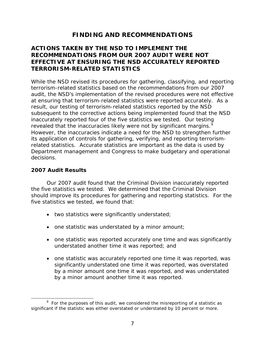# **FINDING AND RECOMMENDATIONS**

# **ACTIONS TAKEN BY THE NSD TO IMPLEMENT THE RECOMMENDATIONS FROM OUR 2007 AUDIT WERE NOT EFFECTIVE AT ENSURING THE NSD ACCURATELY REPORTED TERRORISM-RELATED STATISTICS**

While the NSD revised its procedures for gathering, classifying, and reporting terrorism-related statistics based on the recommendations from our 2007 audit, the NSD's implementation of the revised procedures were not effective at ensuring that terrorism-related statistics were reported accurately. As a result, our testing of terrorism-related statistics reported by the NSD subsequent to the corrective actions being implemented found that the NSD inaccurately reported four of the five statistics we tested. Our testing revealed that the inaccuracies likely were not by significant margins. $8$ However, the inaccuracies indicate a need for the NSD to strengthen further its application of controls for gathering, verifying, and reporting terrorismrelated statistics. Accurate statistics are important as the data is used by Department management and Congress to make budgetary and operational decisions.

# **2007 Audit Results**

 $\overline{a}$ 

Our 2007 audit found that the Criminal Division inaccurately reported the five statistics we tested. We determined that the Criminal Division should improve its procedures for gathering and reporting statistics. For the five statistics we tested, we found that:

- two statistics were significantly understated;
- one statistic was understated by a minor amount;
- one statistic was reported accurately one time and was significantly understated another time it was reported; and
- one statistic was accurately reported one time it was reported, was significantly understated one time it was reported, was overstated by a minor amount one time it was reported, and was understated by a minor amount another time it was reported.

<span id="page-11-0"></span><sup>&</sup>lt;sup>8</sup> For the purposes of this audit, we considered the misreporting of a statistic as significant if the statistic was either overstated or understated by 10 percent or more.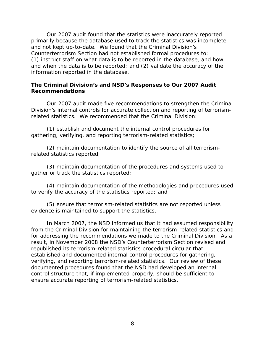Our 2007 audit found that the statistics were inaccurately reported primarily because the database used to track the statistics was incomplete and not kept up-to-date. We found that the Criminal Division's Counterterrorism Section had not established formal procedures to: (1) instruct staff on what data is to be reported in the database, and how and when the data is to be reported; and (2) validate the accuracy of the information reported in the database.

## **The Criminal Division's and NSD's Responses to Our 2007 Audit Recommendations**

Our 2007 audit made five recommendations to strengthen the Criminal Division's internal controls for accurate collection and reporting of terrorismrelated statistics. We recommended that the Criminal Division:

(1) establish and document the internal control procedures for gathering, verifying, and reporting terrorism-related statistics;

(2) maintain documentation to identify the source of all terrorismrelated statistics reported;

(3) maintain documentation of the procedures and systems used to gather or track the statistics reported;

(4) maintain documentation of the methodologies and procedures used to verify the accuracy of the statistics reported; and

(5) ensure that terrorism-related statistics are not reported unless evidence is maintained to support the statistics.

In March 2007, the NSD informed us that it had assumed responsibility from the Criminal Division for maintaining the terrorism-related statistics and for addressing the recommendations we made to the Criminal Division. As a result, in November 2008 the NSD's Counterterrorism Section revised and republished its terrorism-related statistics procedural circular that established and documented internal control procedures for gathering, verifying, and reporting terrorism-related statistics. Our review of these documented procedures found that the NSD had developed an internal control structure that, if implemented properly, should be sufficient to ensure accurate reporting of terrorism-related statistics.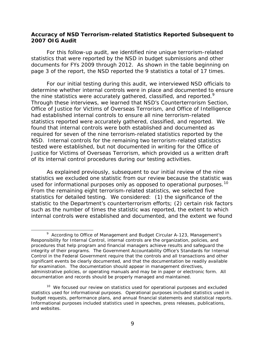#### **Accuracy of NSD Terrorism-related Statistics Reported Subsequent to 2007 OIG Audit**

For this follow-up audit, we identified nine unique terrorism-related statistics that were reported by the NSD in budget submissions and other documents for FYs 2009 through 2012. As shown in the table beginning on page 3 of the report, the NSD reported the 9 statistics a total of 17 times.

For our initial testing during this audit, we interviewed NSD officials to determine whether internal controls were in place and documented to ensure the nine statistics were accurately gathered, classified, and reported. $9$ Through these interviews, we learned that NSD's Counterterrorism Section, Office of Justice for Victims of Overseas Terrorism, and Office of Intelligence had established internal controls to ensure all nine terrorism-related statistics reported were accurately gathered, classified, and reported. We found that internal controls were both established and documented as required for seven of the nine terrorism-related statistics reported by the NSD. Internal controls for the remaining two terrorism-related statistics tested were established, but not documented in writing for the Office of Justice for Victims of Overseas Terrorism, which provided us a written draft of its internal control procedures during our testing activities.

As explained previously, subsequent to our initial review of the nine statistics we excluded one statistic from our review because the statistic was used for informational purposes only as opposed to operational purposes.<sup>[10](#page-13-1)</sup> From the remaining eight terrorism-related statistics, we selected five statistics for detailed testing. We considered: (1) the significance of the statistic to the Department's counterterrorism efforts; (2) certain risk factors such as the number of times the statistic was reported, the extent to which internal controls were established and documented, and the extent we found

<span id="page-13-0"></span><sup>9</sup> According to Office of Management and Budget Circular A-123, *Management's Responsibility for Internal Control*, internal controls are the organization, policies, and procedures that help program and financial managers achieve results and safeguard the integrity of their programs. The Government Accountability Office's *Standards for Internal Control in the Federal Government* require that the controls and all transactions and other significant events be clearly documented, and that the documentation be readily available for examination. The documentation should appear in management directives, administrative policies, or operating manuals and may be in paper or electronic form. All documentation and records should be properly managed and maintained.

<span id="page-13-1"></span><sup>&</sup>lt;sup>10</sup> We focused our review on statistics used for operational purposes and excluded statistics used for informational purposes. Operational purposes included statistics used in budget requests, performance plans, and annual financial statements and statistical reports. Informational purposes included statistics used in speeches, press releases, publications, and websites.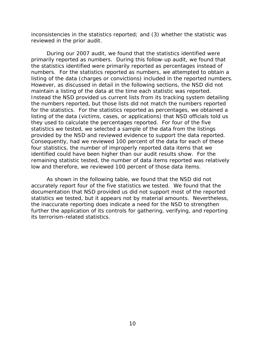inconsistencies in the statistics reported; and (3) whether the statistic was reviewed in the prior audit.

During our 2007 audit, we found that the statistics identified were primarily reported as numbers. During this follow-up audit, we found that the statistics identified were primarily reported as percentages instead of numbers. For the statistics reported as numbers, we attempted to obtain a listing of the data (charges or convictions) included in the reported numbers. However, as discussed in detail in the following sections, the NSD did not maintain a listing of the data at the time each statistic was reported. Instead the NSD provided us current lists from its tracking system detailing the numbers reported, but those lists did not match the numbers reported for the statistics. For the statistics reported as percentages, we obtained a listing of the data (victims, cases, or applications) that NSD officials told us they used to calculate the percentages reported. For four of the five statistics we tested, we selected a sample of the data from the listings provided by the NSD and reviewed evidence to support the data reported. Consequently, had we reviewed 100 percent of the data for each of these four statistics, the number of improperly reported data items that we identified could have been higher than our audit results show. For the remaining statistic tested, the number of data items reported was relatively low and therefore, we reviewed 100 percent of those data items.

As shown in the following table, we found that the NSD did not accurately report four of the five statistics we tested. We found that the documentation that NSD provided us did not support most of the reported statistics we tested, but it appears not by material amounts. Nevertheless, the inaccurate reporting does indicate a need for the NSD to strengthen further the application of its controls for gathering, verifying, and reporting its terrorism-related statistics.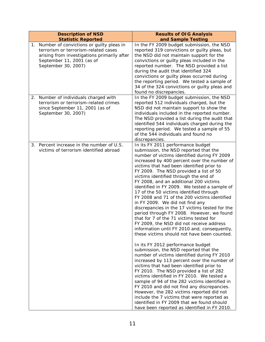| <b>Description of NSD</b>                                                                                                                                                              | <b>Results of OIG Analysis</b>                                                                                                                                                                                                                                                                                                                                                                                                                                                                                                                                                                                                                                                                                                                                                                                                                                                                                                                                                                                                                                                                                                                                                                                                                                                                                                                                                                                                    |
|----------------------------------------------------------------------------------------------------------------------------------------------------------------------------------------|-----------------------------------------------------------------------------------------------------------------------------------------------------------------------------------------------------------------------------------------------------------------------------------------------------------------------------------------------------------------------------------------------------------------------------------------------------------------------------------------------------------------------------------------------------------------------------------------------------------------------------------------------------------------------------------------------------------------------------------------------------------------------------------------------------------------------------------------------------------------------------------------------------------------------------------------------------------------------------------------------------------------------------------------------------------------------------------------------------------------------------------------------------------------------------------------------------------------------------------------------------------------------------------------------------------------------------------------------------------------------------------------------------------------------------------|
| <b>Statistic Reported</b>                                                                                                                                                              | and Sample Testing                                                                                                                                                                                                                                                                                                                                                                                                                                                                                                                                                                                                                                                                                                                                                                                                                                                                                                                                                                                                                                                                                                                                                                                                                                                                                                                                                                                                                |
| 1. Number of convictions or guilty pleas in<br>terrorism or terrorism-related cases<br>arising from investigations primarily after<br>September 11, 2001 (as of<br>September 30, 2007) | In the FY 2009 budget submission, the NSD<br>reported 319 convictions or guilty pleas, but<br>the NSD did not maintain support for the<br>convictions or guilty pleas included in the<br>reported number. The NSD provided a list<br>during the audit that identified 324<br>convictions or guilty pleas occurred during<br>the reporting period. We tested a sample of<br>34 of the 324 convictions or guilty pleas and<br>found no discrepancies.                                                                                                                                                                                                                                                                                                                                                                                                                                                                                                                                                                                                                                                                                                                                                                                                                                                                                                                                                                               |
| 2. Number of individuals charged with<br>terrorism or terrorism-related crimes<br>since September 11, 2001 (as of<br>September 30, 2007)                                               | In the FY 2009 budget submission, the NSD<br>reported 512 individuals charged, but the<br>NSD did not maintain support to show the<br>individuals included in the reported number.<br>The NSD provided a list during the audit that<br>identified 544 individuals charged during the<br>reporting period. We tested a sample of 55<br>of the 544 individuals and found no<br>discrepancies.                                                                                                                                                                                                                                                                                                                                                                                                                                                                                                                                                                                                                                                                                                                                                                                                                                                                                                                                                                                                                                       |
| Percent increase in the number of U.S.<br>3.<br>victims of terrorism identified abroad                                                                                                 | In its FY 2011 performance budget<br>submission, the NSD reported that the<br>number of victims identified during FY 2009<br>increased by 400 percent over the number of<br>victims that had been identified prior to<br>FY 2009. The NSD provided a list of 50<br>victims identified through the end of<br>FY 2008, and an additional 200 victims<br>identified in FY 2009. We tested a sample of<br>17 of the 50 victims identified through<br>FY 2008 and 71 of the 200 victims identified<br>in FY 2009. We did not find any<br>discrepancies in the 17 victims tested for the<br>period through FY 2008. However, we found<br>that for 7 of the 71 victims tested for<br>FY 2009, the NSD did not receive address<br>information until FY 2010 and, consequently,<br>these victims should not have been counted.<br>In its FY 2012 performance budget<br>submission, the NSD reported that the<br>number of victims identified during FY 2010<br>increased by 113 percent over the number of<br>victims that had been identified prior to<br>FY 2010. The NSD provided a list of 282<br>victims identified in FY 2010. We tested a<br>sample of 94 of the 282 victims identified in<br>FY 2010 and did not find any discrepancies.<br>However, the 282 victims reported did not<br>include the 7 victims that were reported as<br>identified in FY 2009 that we found should<br>have been reported as identified in FY 2010. |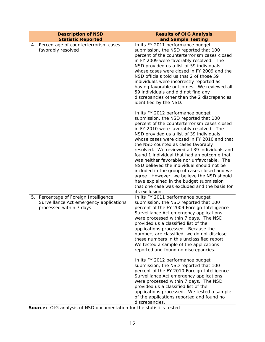| and Sample Testing<br>In its FY 2011 performance budget<br>submission, the NSD reported that 100<br>percent of the counterterrorism cases closed<br>in FY 2009 were favorably resolved. The<br>NSD provided us a list of 59 individuals<br>whose cases were closed in FY 2009 and the<br>NSD officials told us that 2 of those 59<br>individuals were incorrectly reported as<br>having favorable outcomes. We reviewed all<br>59 individuals and did not find any<br>discrepancies other than the 2 discrepancies                                                                                                                                                                                         |
|------------------------------------------------------------------------------------------------------------------------------------------------------------------------------------------------------------------------------------------------------------------------------------------------------------------------------------------------------------------------------------------------------------------------------------------------------------------------------------------------------------------------------------------------------------------------------------------------------------------------------------------------------------------------------------------------------------|
|                                                                                                                                                                                                                                                                                                                                                                                                                                                                                                                                                                                                                                                                                                            |
| identified by the NSD.                                                                                                                                                                                                                                                                                                                                                                                                                                                                                                                                                                                                                                                                                     |
| In its FY 2012 performance budget<br>submission, the NSD reported that 100<br>percent of the counterterrorism cases closed<br>in FY 2010 were favorably resolved. The<br>NSD provided us a list of 39 individuals<br>whose cases were closed in FY 2010 and that<br>the NSD counted as cases favorably<br>resolved. We reviewed all 39 individuals and<br>found 1 individual that had an outcome that<br>was neither favorable nor unfavorable. The<br>NSD believed the individual should not be<br>included in the group of cases closed and we<br>agree. However, we believe the NSD should<br>have explained in the budget submission<br>that one case was excluded and the basis for<br>its exclusion. |
| In its FY 2011 performance budget<br>submission, the NSD reported that 100<br>percent of the FY 2009 Foreign Intelligence<br>Surveillance Act emergency applications<br>were processed within 7 days. The NSD<br>provided us a classified list of the<br>applications processed. Because the<br>numbers are classified, we do not disclose<br>these numbers in this unclassified report.<br>We tested a sample of the applications<br>reported and found no discrepancies.<br>In its FY 2012 performance budget<br>submission, the NSD reported that 100<br>percent of the FY 2010 Foreign Intelligence<br>Surveillance Act emergency applications<br>were processed within 7 days. The NSD                |
|                                                                                                                                                                                                                                                                                                                                                                                                                                                                                                                                                                                                                                                                                                            |

 **Source:** OIG analysis of NSD documentation for the statistics tested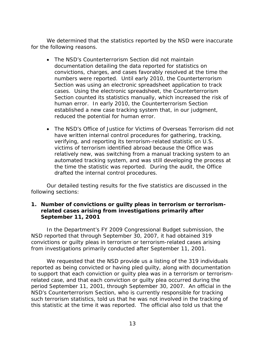We determined that the statistics reported by the NSD were inaccurate for the following reasons.

- The NSD's Counterterrorism Section did not maintain documentation detailing the data reported for statistics on convictions, charges, and cases favorably resolved at the time the numbers were reported. Until early 2010, the Counterterrorism Section was using an electronic spreadsheet application to track cases. Using the electronic spreadsheet, the Counterterrorism Section counted its statistics manually, which increased the risk of human error. In early 2010, the Counterterrorism Section established a new case tracking system that, in our judgment, reduced the potential for human error.
- The NSD's Office of Justice for Victims of Overseas Terrorism did not have written internal control procedures for gathering, tracking, verifying, and reporting its terrorism-related statistic on U.S. victims of terrorism identified abroad because the Office was relatively new, was switching from a manual tracking system to an automated tracking system, and was still developing the process at the time the statistic was reported. During the audit, the Office drafted the internal control procedures.

Our detailed testing results for the five statistics are discussed in the following sections:

# **1. Number of convictions or guilty pleas in terrorism or terrorismrelated cases arising from investigations primarily after September 11, 2001**

In the Department's FY 2009 Congressional Budget submission, the NSD reported that through September 30, 2007, it had obtained 319 convictions or guilty pleas in terrorism or terrorism-related cases arising from investigations primarily conducted after September 11, 2001.

We requested that the NSD provide us a listing of the 319 individuals reported as being convicted or having pled guilty, along with documentation to support that each conviction or guilty plea was in a terrorism or terrorismrelated case, and that each conviction or guilty plea occurred during the period September 11, 2001, through September 30, 2007. An official in the NSD's Counterterrorism Section, who is currently responsible for tracking such terrorism statistics, told us that he was not involved in the tracking of this statistic at the time it was reported. The official also told us that the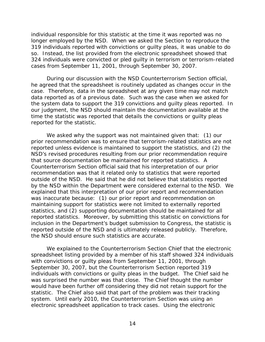individual responsible for this statistic at the time it was reported was no longer employed by the NSD. When we asked the Section to reproduce the 319 individuals reported with convictions or guilty pleas, it was unable to do so. Instead, the list provided from the electronic spreadsheet showed that 324 individuals were convicted or pled guilty in terrorism or terrorism-related cases from September 11, 2001, through September 30, 2007.

During our discussion with the NSD Counterterrorism Section official, he agreed that the spreadsheet is routinely updated as changes occur in the case. Therefore, data in the spreadsheet at any given time may not match data reported as of a previous date. Such was the case when we asked for the system data to support the 319 convictions and guilty pleas reported. In our judgment, the NSD should maintain the documentation available at the time the statistic was reported that details the convictions or guilty pleas reported for the statistic.

We asked why the support was not maintained given that: (1) our prior recommendation was to ensure that terrorism-related statistics are not reported unless evidence is maintained to support the statistics, and (2) the NSD's revised procedures resulting from our prior recommendation require that source documentation be maintained for reported statistics. A Counterterrorism Section official said that his interpretation of our prior recommendation was that it related only to statistics that were reported outside of the NSD. He said that he did not believe that statistics reported by the NSD within the Department were considered external to the NSD. We explained that this interpretation of our prior report and recommendation was inaccurate because: (1) our prior report and recommendation on maintaining support for statistics were not limited to externally reported statistics, and (2) supporting documentation should be maintained for all reported statistics. Moreover, by submitting this statistic on convictions for inclusion in the Department's budget submission to Congress, the statistic is reported outside of the NSD and is ultimately released publicly. Therefore, the NSD should ensure such statistics are accurate.

We explained to the Counterterrorism Section Chief that the electronic spreadsheet listing provided by a member of his staff showed 324 individuals with convictions or guilty pleas from September 11, 2001, through September 30, 2007, but the Counterterrorism Section reported 319 individuals with convictions or guilty pleas in the budget. The Chief said he was surprised the number was that close. The Chief thought the number would have been further off considering they did not retain support for the statistic. The Chief also said that part of the problem was their tracking system. Until early 2010, the Counterterrorism Section was using an electronic spreadsheet application to track cases. Using the electronic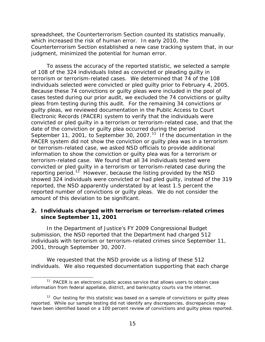spreadsheet, the Counterterrorism Section counted its statistics manually, which increased the risk of human error. In early 2010, the Counterterrorism Section established a new case tracking system that, in our judgment, minimized the potential for human error.

To assess the accuracy of the reported statistic, we selected a sample of 108 of the 324 individuals listed as convicted or pleading guilty in terrorism or terrorism-related cases. We determined that 74 of the 108 individuals selected were convicted or pled guilty prior to February 4, 2005. Because these 74 convictions or guilty pleas were included in the pool of cases tested during our prior audit, we excluded the 74 convictions or guilty pleas from testing during this audit. For the remaining 34 convictions or guilty pleas, we reviewed documentation in the Public Access to Court Electronic Records (PACER) system to verify that the individuals were convicted or pled guilty in a terrorism or terrorism-related case, and that the date of the conviction or guilty plea occurred during the period September [11](#page-19-0), 2001, to September 30, 2007.<sup>11</sup> If the documentation in the PACER system did not show the conviction or guilty plea was in a terrorism or terrorism-related case, we asked NSD officials to provide additional information to show the conviction or guilty plea was for a terrorism or terrorism-related case. We found that all 34 individuals tested were convicted or pled guilty in a terrorism or terrorism-related case during the reporting period.<sup>[12](#page-19-1)</sup> However, because the listing provided by the NSD showed 324 individuals were convicted or had pled guilty, instead of the 319 reported, the NSD apparently understated by at least 1.5 percent the reported number of convictions or guilty pleas. We do not consider the amount of this deviation to be significant.

# **2. Individuals charged with terrorism or terrorism-related crimes since September 11, 2001**

In the Department of Justice's FY 2009 Congressional Budget submission, the NSD reported that the Department had charged 512 individuals with terrorism or terrorism-related crimes since September 11, 2001, through September 30, 2007.

We requested that the NSD provide us a listing of these 512 individuals. We also requested documentation supporting that each charge

<span id="page-19-0"></span> $\overline{a}$  $11$  PACER is an electronic public access service that allows users to obtain case information from federal appellate, district, and bankruptcy courts via the internet.

<span id="page-19-1"></span> $12$  Our testing for this statistic was based on a sample of convictions or guilty pleas reported. While our sample testing did not identify any discrepancies, discrepancies may have been identified based on a 100 percent review of convictions and guilty pleas reported.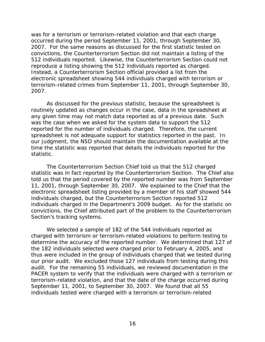was for a terrorism or terrorism-related violation and that each charge occurred during the period September 11, 2001, through September 30, 2007. For the same reasons as discussed for the first statistic tested on convictions, the Counterterrorism Section did not maintain a listing of the 512 individuals reported. Likewise, the Counterterrorism Section could not reproduce a listing showing the 512 individuals reported as charged. Instead, a Counterterrorism Section official provided a list from the electronic spreadsheet showing 544 individuals charged with terrorism or terrorism-related crimes from September 11, 2001, through September 30, 2007.

As discussed for the previous statistic, because the spreadsheet is routinely updated as changes occur in the case, data in the spreadsheet at any given time may not match data reported as of a previous date. Such was the case when we asked for the system data to support the 512 reported for the number of individuals charged. Therefore, the current spreadsheet is not adequate support for statistics reported in the past. In our judgment, the NSD should maintain the documentation available at the time the statistic was reported that details the individuals reported for the statistic.

 The Counterterrorism Section Chief told us that the 512 charged statistic was in fact reported by the Counterterrorism Section. The Chief also told us that the period covered by the reported number was from September 11, 2001, through September 30, 2007. We explained to the Chief that the electronic spreadsheet listing provided by a member of his staff showed 544 individuals charged, but the Counterterrorism Section reported 512 individuals charged in the Department's 2009 budget. As for the statistic on convictions, the Chief attributed part of the problem to the Counterterrorism Section's tracking systems.

 We selected a sample of 182 of the 544 individuals reported as charged with terrorism or terrorism-related violations to perform testing to determine the accuracy of the reported number. We determined that 127 of the 182 individuals selected were charged prior to February 4, 2005, and thus were included in the group of individuals charged that we tested during our prior audit. We excluded those 127 individuals from testing during this audit. For the remaining 55 individuals, we reviewed documentation in the PACER system to verify that the individuals were charged with a terrorism or terrorism-related violation, and that the date of the charge occurred during September 11, 2001, to September 30, 2007. We found that all 55 individuals tested were charged with a terrorism or terrorism-related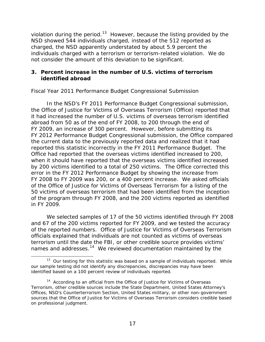violation during the period.<sup>13</sup> However, because the listing provided by the NSD showed 544 individuals charged, instead of the 512 reported as charged, the NSD apparently understated by about 5.9 percent the individuals charged with a terrorism or terrorism-related violation. We do not consider the amount of this deviation to be significant.

## **3. Percent increase in the number of U.S. victims of terrorism identified abroad**

# *Fiscal Year 2011 Performance Budget Congressional Submission*

 In the NSD's FY 2011 Performance Budget Congressional submission, the Office of Justice for Victims of Overseas Terrorism (Office) reported that it had increased the number of U.S. victims of overseas terrorism identified abroad from 50 as of the end of FY 2008, to 200 through the end of FY 2009, an increase of 300 percent. However, before submitting its FY 2012 Performance Budget Congressional submission, the Office compared the current data to the previously reported data and realized that it had reported this statistic incorrectly in the FY 2011 Performance Budget. The Office had reported that the overseas victims identified increased to 200, when it should have reported that the overseas victims identified increased by 200 victims identified to a total of 250 victims. The Office corrected this error in the FY 2012 Performance Budget by showing the increase from FY 2008 to FY 2009 was 200, or a 400 percent increase. We asked officials of the Office of Justice for Victims of Overseas Terrorism for a listing of the 50 victims of overseas terrorism that had been identified from the inception of the program through FY 2008, and the 200 victims reported as identified in FY 2009.

 We selected samples of 17 of the 50 victims identified through FY 2008 and 67 of the 200 victims reported for FY 2009, and we tested the accuracy of the reported numbers. Office of Justice for Victims of Overseas Terrorism officials explained that individuals are not counted as victims of overseas terrorism until the date the FBI, or other credible source provides victims' names and addresses.<sup>[14](#page-21-1)</sup> We reviewed documentation maintained by the

<span id="page-21-0"></span> $13$  Our testing for this statistic was based on a sample of individuals reported. While our sample testing did not identify any discrepancies, discrepancies may have been identified based on a 100 percent review of individuals reported.

<span id="page-21-1"></span><sup>&</sup>lt;sup>14</sup> According to an official from the Office of Justice for Victims of Overseas Terrorism, other credible sources include the State Department, United States Attorney's Offices, NSD's Counterterrorism Section, United States military, or other non-government sources that the Office of Justice for Victims of Overseas Terrorism considers credible based on professional judgment.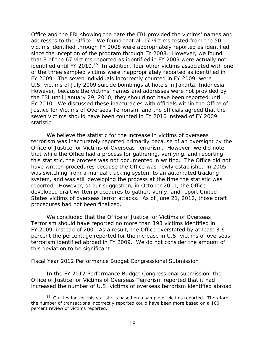Office and the FBI showing the date the FBI provided the victims' names and addresses to the Office. We found that all 17 victims tested from the 50 victims identified through FY 2008 were appropriately reported as identified since the inception of the program through FY 2008. However, we found that 3 of the 67 victims reported as identified in FY 2009 were actually not identified until FY 2010.<sup>15</sup> In addition, four other victims associated with one of the three sampled victims were inappropriately reported as identified in FY 2009. The seven individuals incorrectly counted in FY 2009, were U.S. victims of July 2009 suicide bombings at hotels in Jakarta, Indonesia. However, because the victims' names and addresses were not provided by the FBI until January 29, 2010, they should not have been reported until FY 2010. We discussed these inaccuracies with officials within the Office of Justice for Victims of Overseas Terrorism, and the officials agreed that the seven victims should have been counted in FY 2010 instead of FY 2009 statistic.

We believe the statistic for the increase in victims of overseas terrorism was inaccurately reported primarily because of an oversight by the Office of Justice for Victims of Overseas Terrorism. However, we did note that while the Office had a process for gathering, verifying, and reporting this statistic, the process was not documented in writing. The Office did not have written procedures because the Office was newly established in 2005, was switching from a manual tracking system to an automated tracking system, and was still developing the process at the time the statistic was reported. However, at our suggestion, in October 2011, the Office developed draft written procedures to gather, verify, and report United States victims of overseas terror attacks. As of June 21, 2012, those draft procedures had not been finalized.

We concluded that the Office of Justice for Victims of Overseas Terrorism should have reported no more than 193 victims identified in FY 2009, instead of 200. As a result, the Office overstated by at least 3.6 percent the percentage reported for the increase in U.S. victims of overseas terrorism identified abroad in FY 2009. We do not consider the amount of this deviation to be significant.

#### *Fiscal Year 2012 Performance Budget Congressional Submission*

 $\overline{a}$ 

In the FY 2012 Performance Budget Congressional submission, the Office of Justice for Victims of Overseas Terrorism reported that it had increased the number of U.S. victims of overseas terrorism identified abroad

<span id="page-22-0"></span><sup>&</sup>lt;sup>15</sup> Our testing for this statistic is based on a sample of victims reported. Therefore, the number of transactions incorrectly reported could have been more based on a 100 percent review of victims reported.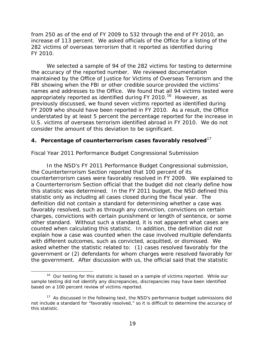from 250 as of the end of FY 2009 to 532 through the end of FY 2010, an increase of 113 percent. We asked officials of the Office for a listing of the 282 victims of overseas terrorism that it reported as identified during FY 2010.

 We selected a sample of 94 of the 282 victims for testing to determine the accuracy of the reported number. We reviewed documentation maintained by the Office of Justice for Victims of Overseas Terrorism and the FBI showing when the FBI or other credible source provided the victims' names and addresses to the Office. We found that all 94 victims tested were appropriately reported as identified during FY 2010.<sup>[16](#page-23-0)</sup> However, as previously discussed, we found seven victims reported as identified during FY 2009 who should have been reported in FY 2010. As a result, the Office understated by at least 5 percent the percentage reported for the increase in U.S. victims of overseas terrorism identified abroad in FY 2010. We do not consider the amount of this deviation to be significant.

# **4. Percentage of counterterrorism cases favorably resolved**[17](#page-23-1)

## *Fiscal Year 2011 Performance Budget Congressional Submission*

In the NSD's FY 2011 Performance Budget Congressional submission, the Counterterrorism Section reported that 100 percent of its counterterrorism cases were favorably resolved in FY 2009. We explained to a Counterterrorism Section official that the budget did not clearly define how this statistic was determined. In the FY 2011 budget, the NSD defined this statistic only as including all cases closed during the fiscal year. The definition did not contain a standard for determining whether a case was favorably resolved, such as through any conviction, convictions on certain charges, convictions with certain punishment or length of sentence, or some other standard. Without such a standard, it is not apparent what cases are counted when calculating this statistic. In addition, the definition did not explain how a case was counted when the case involved multiple defendants with different outcomes, such as convicted, acquitted, or dismissed. We asked whether the statistic related to: (1) cases resolved favorably for the government or (2) defendants for whom charges were resolved favorably for the government. After discussion with us, the official said that the statistic

<span id="page-23-0"></span><sup>&</sup>lt;sup>16</sup> Our testing for this statistic is based on a sample of victims reported. While our sample testing did not identify any discrepancies, discrepancies may have been identified based on a 100 percent review of victims reported.

<span id="page-23-1"></span> $17$  As discussed in the following text, the NSD's performance budget submissions did not include a standard for "favorably resolved," so it is difficult to determine the accuracy of this statistic.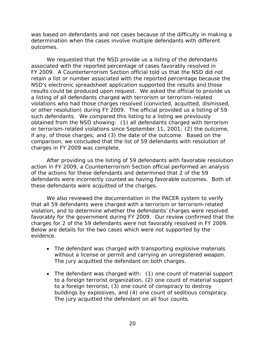was based on defendants and not cases because of the difficulty in making a determination when the cases involve multiple defendants with different outcomes.

We requested that the NSD provide us a listing of the defendants associated with the reported percentage of cases favorably resolved in FY 2009. A Counterterrorism Section official told us that the NSD did not retain a list or number associated with the reported percentage because the NSD's electronic spreadsheet application supported the results and those results could be produced upon request. We asked the official to provide us a listing of all defendants charged with terrorism or terrorism-related violations who had those charges resolved (convicted, acquitted, dismissed, or other resolution) during FY 2009. The official provided us a listing of 59 such defendants. We compared this listing to a listing we previously obtained from the NSD showing: (1) all defendants charged with terrorism or terrorism-related violations since September 11, 2001; (2) the outcome, if any, of those charges; and (3) the date of the outcome. Based on the comparison, we concluded that the list of 59 defendants with resolution of charges in FY 2009 was complete.

After providing us the listing of 59 defendants with favorable resolution action in FY 2009, a Counterterrorism Section official performed an analysis of the actions for these defendants and determined that 2 of the 59 defendants were incorrectly counted as having favorable outcomes. Both of these defendants were acquitted of the charges.

We also reviewed the documentation in the PACER system to verify that all 59 defendants were charged with a terrorism or terrorism-related violation, and to determine whether the defendants' charges were resolved favorably for the government during FY 2009. Our review confirmed that the charges for 2 of the 59 defendants were not favorably resolved in FY 2009. Below are details for the two cases which were not supported by the evidence.

- The defendant was charged with transporting explosive materials without a license or permit and carrying an unregistered weapon. The jury acquitted the defendant on both charges.
- The defendant was charged with: (1) one count of material support to a foreign terrorist organization, (2) one count of material support to a foreign terrorist, (3) one count of conspiracy to destroy buildings by explosives, and (4) one count of seditious conspiracy. The jury acquitted the defendant on all four counts.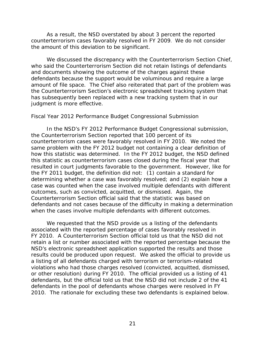As a result, the NSD overstated by about 3 percent the reported counterterrorism cases favorably resolved in FY 2009. We do not consider the amount of this deviation to be significant.

 We discussed the discrepancy with the Counterterrorism Section Chief, who said the Counterterrorism Section did not retain listings of defendants and documents showing the outcome of the charges against these defendants because the support would be voluminous and require a large amount of file space. The Chief also reiterated that part of the problem was the Counterterrorism Section's electronic spreadsheet tracking system that has subsequently been replaced with a new tracking system that in our judgment is more effective.

#### *Fiscal Year 2012 Performance Budget Congressional Submission*

In the NSD's FY 2012 Performance Budget Congressional submission, the Counterterrorism Section reported that 100 percent of its counterterrorism cases were favorably resolved in FY 2010. We noted the same problem with the FY 2012 budget not containing a clear definition of how this statistic was determined. In the FY 2012 budget, the NSD defined this statistic as counterterrorism cases closed during the fiscal year that resulted in court judgments favorable to the government. However, like for the FY 2011 budget, the definition did not: (1) contain a standard for determining whether a case was favorably resolved; and (2) explain how a case was counted when the case involved multiple defendants with different outcomes, such as convicted, acquitted, or dismissed. Again, the Counterterrorism Section official said that the statistic was based on defendants and not cases because of the difficulty in making a determination when the cases involve multiple defendants with different outcomes.

We requested that the NSD provide us a listing of the defendants associated with the reported percentage of cases favorably resolved in FY 2010. A Counterterrorism Section official told us that the NSD did not retain a list or number associated with the reported percentage because the NSD's electronic spreadsheet application supported the results and those results could be produced upon request. We asked the official to provide us a listing of all defendants charged with terrorism or terrorism-related violations who had those charges resolved (convicted, acquitted, dismissed, or other resolution) during FY 2010. The official provided us a listing of 41 defendants, but the official told us that the NSD did not include 2 of the 41 defendants in the pool of defendants whose charges were resolved in FY 2010. The rationale for excluding these two defendants is explained below.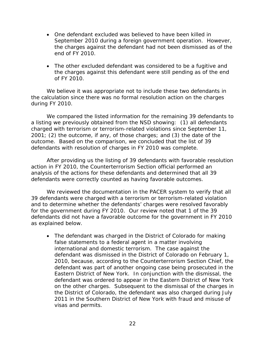- One defendant excluded was believed to have been killed in September 2010 during a foreign government operation. However, the charges against the defendant had not been dismissed as of the end of FY 2010.
- The other excluded defendant was considered to be a fugitive and the charges against this defendant were still pending as of the end of FY 2010.

We believe it was appropriate not to include these two defendants in the calculation since there was no formal resolution action on the charges during FY 2010.

We compared the listed information for the remaining 39 defendants to a listing we previously obtained from the NSD showing: (1) all defendants charged with terrorism or terrorism-related violations since September 11, 2001; (2) the outcome, if any, of those charges; and (3) the date of the outcome. Based on the comparison, we concluded that the list of 39 defendants with resolution of charges in FY 2010 was complete.

After providing us the listing of 39 defendants with favorable resolution action in FY 2010, the Counterterrorism Section official performed an analysis of the actions for these defendants and determined that all 39 defendants were correctly counted as having favorable outcomes.

We reviewed the documentation in the PACER system to verify that all 39 defendants were charged with a terrorism or terrorism-related violation and to determine whether the defendants' charges were resolved favorably for the government during FY 2010. Our review noted that 1 of the 39 defendants did not have a favorable outcome for the government in FY 2010 as explained below.

• The defendant was charged in the District of Colorado for making false statements to a federal agent in a matter involving international and domestic terrorism. The case against the defendant was dismissed in the District of Colorado on February 1, 2010, because, according to the Counterterrorism Section Chief, the defendant was part of another ongoing case being prosecuted in the Eastern District of New York. In conjunction with the dismissal, the defendant was ordered to appear in the Eastern District of New York on the other charges. Subsequent to the dismissal of the charges in the District of Colorado, the defendant was also charged during July 2011 in the Southern District of New York with fraud and misuse of visas and permits.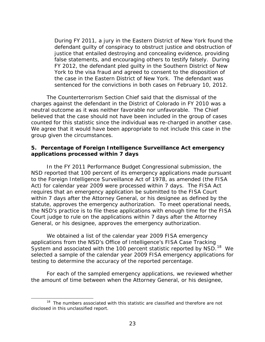During FY 2011, a jury in the Eastern District of New York found the defendant guilty of conspiracy to obstruct justice and obstruction of justice that entailed destroying and concealing evidence, providing false statements, and encouraging others to testify falsely. During FY 2012, the defendant pled guilty in the Southern District of New York to the visa fraud and agreed to consent to the disposition of the case in the Eastern District of New York. The defendant was sentenced for the convictions in both cases on February 10, 2012.

The Counterterrorism Section Chief said that the dismissal of the charges against the defendant in the District of Colorado in FY 2010 was a neutral outcome as it was neither favorable nor unfavorable. The Chief believed that the case should not have been included in the group of cases counted for this statistic since the individual was re-charged in another case. We agree that it would have been appropriate to not include this case in the group given the circumstances.

#### **5. Percentage of Foreign Intelligence Surveillance Act emergency applications processed within 7 days**

In the FY 2011 Performance Budget Congressional submission, the NSD reported that 100 percent of its emergency applications made pursuant to the Foreign Intelligence Surveillance Act of 1978, as amended (the FISA Act) for calendar year 2009 were processed within 7 days. The FISA Act requires that an emergency application be submitted to the FISA Court within 7 days after the Attorney General, or his designee as defined by the statute, approves the emergency authorization. To meet operational needs, the NSD's practice is to file these applications with enough time for the FISA Court judge to rule on the applications within 7 days after the Attorney General, or his designee, approves the emergency authorization.

We obtained a list of the calendar year 2009 FISA emergency applications from the NSD's Office of Intelligence's FISA Case Tracking System and associated with the 100 percent statistic reported by NSD.<sup>[18](#page-27-0)</sup> We selected a sample of the calendar year 2009 FISA emergency applications for testing to determine the accuracy of the reported percentage.

For each of the sampled emergency applications, we reviewed whether the amount of time between when the Attorney General, or his designee,

<span id="page-27-0"></span><sup>&</sup>lt;sup>18</sup> The numbers associated with this statistic are classified and therefore are not disclosed in this unclassified report.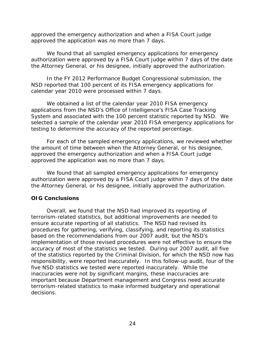approved the emergency authorization and when a FISA Court judge approved the application was no more than 7 days.

We found that all sampled emergency applications for emergency authorization were approved by a FISA Court judge within 7 days of the date the Attorney General, or his designee, initially approved the authorization.

In the FY 2012 Performance Budget Congressional submission, the NSD reported that 100 percent of its FISA emergency applications for calendar year 2010 were processed within 7 days.

We obtained a list of the calendar year 2010 FISA emergency applications from the NSD's Office of Intelligence's FISA Case Tracking System and associated with the 100 percent statistic reported by NSD. We selected a sample of the calendar year 2010 FISA emergency applications for testing to determine the accuracy of the reported percentage.

For each of the sampled emergency applications, we reviewed whether the amount of time between when the Attorney General, or his designee, approved the emergency authorization and when a FISA Court judge approved the application was no more than 7 days.

We found that all sampled emergency applications for emergency authorization were approved by a FISA Court judge within 7 days of the date the Attorney General, or his designee, initially approved the authorization.

# **OIG Conclusions**

Overall, we found that the NSD had improved its reporting of terrorism-related statistics, but additional improvements are needed to ensure accurate reporting of all statistics. The NSD had revised its procedures for gathering, verifying, classifying, and reporting its statistics based on the recommendations from our 2007 audit, but the NSD's implementation of those revised procedures were not effective to ensure the accuracy of most of the statistics we tested. During our 2007 audit, all five of the statistics reported by the Criminal Division, for which the NSD now has responsibility, were reported inaccurately. In this follow-up audit, four of the five NSD statistics we tested were reported inaccurately. While the inaccuracies were not by significant margins, these inaccuracies are important because Department management and Congress need accurate terrorism-related statistics to make informed budgetary and operational decisions.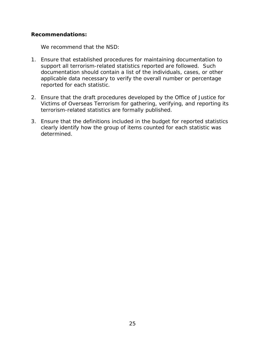# **Recommendations:**

We recommend that the NSD:

- 1. Ensure that established procedures for maintaining documentation to support all terrorism-related statistics reported are followed. Such documentation should contain a list of the individuals, cases, or other applicable data necessary to verify the overall number or percentage reported for each statistic.
- 2. Ensure that the draft procedures developed by the Office of Justice for Victims of Overseas Terrorism for gathering, verifying, and reporting its terrorism-related statistics are formally published.
- 3. Ensure that the definitions included in the budget for reported statistics clearly identify how the group of items counted for each statistic was determined.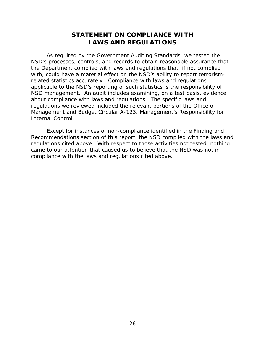# **STATEMENT ON COMPLIANCE WITH LAWS AND REGULATIONS**

As required by the *Government Auditing Standards*, we tested the NSD's processes, controls, and records to obtain reasonable assurance that the Department complied with laws and regulations that, if not complied with, could have a material effect on the NSD's ability to report terrorismrelated statistics accurately. Compliance with laws and regulations applicable to the NSD's reporting of such statistics is the responsibility of NSD management. An audit includes examining, on a test basis, evidence about compliance with laws and regulations. The specific laws and regulations we reviewed included the relevant portions of the Office of Management and Budget Circular A-123, Management's Responsibility for Internal Control.

Except for instances of non-compliance identified in the Finding and Recommendations section of this report, the NSD complied with the laws and regulations cited above. With respect to those activities not tested, nothing came to our attention that caused us to believe that the NSD was not in compliance with the laws and regulations cited above.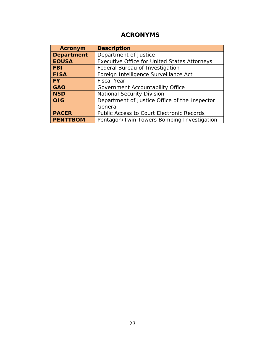# **ACRONYMS**

| <b>Acronym</b>    | <b>Description</b>                                  |
|-------------------|-----------------------------------------------------|
| <b>Department</b> | Department of Justice                               |
| <b>EOUSA</b>      | <b>Executive Office for United States Attorneys</b> |
| <b>FBI</b>        | Federal Bureau of Investigation                     |
| <b>FISA</b>       | Foreign Intelligence Surveillance Act               |
| l FY              | <b>Fiscal Year</b>                                  |
| <b>GAO</b>        | Government Accountability Office                    |
| <b>NSD</b>        | <b>National Security Division</b>                   |
| <b>OIG</b>        | Department of Justice Office of the Inspector       |
|                   | General                                             |
| <b>PACER</b>      | <b>Public Access to Court Electronic Records</b>    |
| <b>PENTTBOM</b>   | Pentagon/Twin Towers Bombing Investigation          |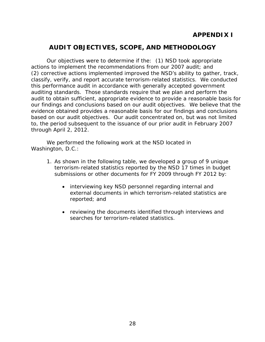# **APPENDIX I**

# **AUDIT OBJECTIVES, SCOPE, AND METHODOLOGY**

Our objectives were to determine if the: (1) NSD took appropriate actions to implement the recommendations from our 2007 audit; and (2) corrective actions implemented improved the NSD's ability to gather, track, classify, verify, and report accurate terrorism-related statistics. We conducted this performance audit in accordance with generally accepted government auditing standards. Those standards require that we plan and perform the audit to obtain sufficient, appropriate evidence to provide a reasonable basis for our findings and conclusions based on our audit objectives. We believe that the evidence obtained provides a reasonable basis for our findings and conclusions based on our audit objectives. Our audit concentrated on, but was not limited to, the period subsequent to the issuance of our prior audit in February 2007 through April 2, 2012.

 We performed the following work at the NSD located in Washington, D.C.:

- 1. As shown in the following table, we developed a group of 9 unique terrorism-related statistics reported by the NSD 17 times in budget submissions or other documents for FY 2009 through FY 2012 by:
	- interviewing key NSD personnel regarding internal and external documents in which terrorism-related statistics are reported; and
	- reviewing the documents identified through interviews and searches for terrorism-related statistics.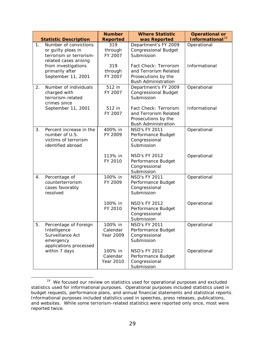|                |                                                                                                  | <b>Number</b>                    | <b>Where Statistic</b>                                                                              | <b>Operational or</b>                      |
|----------------|--------------------------------------------------------------------------------------------------|----------------------------------|-----------------------------------------------------------------------------------------------------|--------------------------------------------|
| 1 <sub>1</sub> | <b>Statistic Description</b><br>Number of convictions                                            | <b>Reported</b><br>319           | was Reported<br>Department's FY 2009                                                                | Informational <sup>19</sup><br>Operational |
|                | or guilty pleas in<br>terrorism or terrorism-<br>related cases arising                           | through<br>FY 2007               | <b>Congressional Budget</b><br>Submission                                                           |                                            |
|                | from investigations<br>primarily after<br>September 11, 2001                                     | 319<br>through<br>FY 2007        | Fact Check: Terrorism<br>and Terrorism Related<br>Prosecutions by the<br><b>Bush Administration</b> | Informational                              |
| 2.             | Number of individuals<br>charged with<br>terrorism-related<br>crimes since                       | 512 in<br>FY 2007                | Department's FY 2009<br><b>Congressional Budget</b><br>Submission                                   | Operational                                |
|                | September 11, 2001                                                                               | 512 in<br>FY 2007                | Fact Check: Terrorism<br>and Terrorism Related<br>Prosecutions by the<br><b>Bush Administration</b> | Informational                              |
| 3.             | Percent increase in the<br>number of U.S.<br>victims of terrorism<br>identified abroad           | 400% in<br>FY 2009               | <b>NSD's FY 2011</b><br>Performance Budget<br>Congressional<br>Submission                           | Operational                                |
|                |                                                                                                  | 113% in<br>FY 2010               | <b>NSD's FY 2012</b><br>Performance Budget<br>Congressional<br>Submission                           | Operational                                |
| 4.             | Percentage of<br>counterterrorism<br>cases favorably<br>resolved                                 | 100% in<br>FY 2009               | <b>NSD's FY 2011</b><br>Performance Budget<br>Congressional<br>Submission                           | Operational                                |
|                |                                                                                                  | 100% in<br>FY 2010               | <b>NSD's FY 2012</b><br>Performance Budget<br>Congressional<br>Submission                           | Operational                                |
| ხ.             | Percentage of Foreign<br>Intelligence<br>Surveillance Act<br>emergency<br>applications processed | 100% in<br>Calendar<br>Year 2009 | <b>NSD's FY 2011</b><br>Performance Budget<br>Congressional<br>Submission                           | Operational                                |
|                | within 7 days                                                                                    | 100% in<br>Calendar<br>Year 2010 | <b>NSD's FY 2012</b><br>Performance Budget<br>Congressional<br>Submission                           | Operational                                |

<span id="page-33-0"></span><sup>&</sup>lt;sup>19</sup> We focused our review on statistics used for operational purposes and excluded statistics used for informational purposes. Operational purposes included statistics used in budget requests, performance plans, and annual financial statements and statistical reports. Informational purposes included statistics used in speeches, press releases, publications, and websites. While some terrorism-related statistics were reported only once, most were reported twice.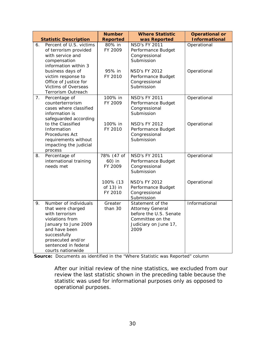|                | <b>Statistic Description</b>                                                                                                                                                                               | <b>Number</b><br><b>Reported</b> | <b>Where Statistic</b><br>was Reported                                                                                     | <b>Operational or</b><br><b>Informational</b> |
|----------------|------------------------------------------------------------------------------------------------------------------------------------------------------------------------------------------------------------|----------------------------------|----------------------------------------------------------------------------------------------------------------------------|-----------------------------------------------|
| 6.             | Percent of U.S. victims<br>of terrorism provided<br>with service and<br>compensation<br>information within 3                                                                                               | 80% in<br>FY 2009                | <b>NSD's FY 2011</b><br>Performance Budget<br>Congressional<br>Submission                                                  | Operational                                   |
|                | business days of<br>victim response to<br>Office of Justice for<br><b>Victims of Overseas</b><br>Terrorism Outreach                                                                                        | 95% in<br>FY 2010                | <b>NSD's FY 2012</b><br>Performance Budget<br>Congressional<br>Submission                                                  | Operational                                   |
| 7 <sub>1</sub> | Percentage of<br>counterterrorism<br>cases where classified<br>information is<br>safeguarded according                                                                                                     | 100% in<br>FY 2009               | <b>NSD's FY 2011</b><br>Performance Budget<br>Congressional<br>Submission                                                  | Operational                                   |
|                | to the Classified<br>Information<br>Procedures Act<br>requirements without<br>impacting the judicial<br>process                                                                                            | 100% in<br>FY 2010               | <b>NSD's FY 2012</b><br>Performance Budget<br>Congressional<br>Submission                                                  | Operational                                   |
| 8.             | Percentage of<br>international training<br>needs met                                                                                                                                                       | 78% (47 of<br>60) in<br>FY 2009  | <b>NSD's FY 2011</b><br>Performance Budget<br>Congressional<br>Submission                                                  | Operational                                   |
|                |                                                                                                                                                                                                            | 100% (13<br>of 13) in<br>FY 2010 | <b>NSD's FY 2012</b><br>Performance Budget<br>Congressional<br>Submission                                                  | Operational                                   |
| 9.             | Number of individuals<br>that were charged<br>with terrorism<br>violations from<br>January to June 2009<br>and have been<br>successfully<br>prosecuted and/or<br>sentenced in federal<br>courts nationwide | Greater<br>than 30               | Statement of the<br><b>Attorney General</b><br>before the U.S. Senate<br>Committee on the<br>Judiciary on June 17,<br>2009 | Informational                                 |

**Source:** Documents as identified in the "Where Statistic was Reported" column

After our initial review of the nine statistics, we excluded from our review the last statistic shown in the preceding table because the statistic was used for informational purposes only as opposed to operational purposes.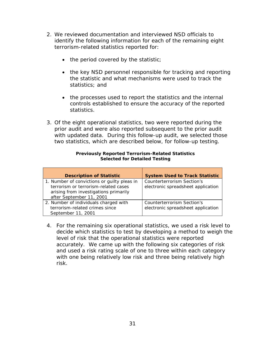- 2. We reviewed documentation and interviewed NSD officials to identify the following information for each of the remaining eight terrorism-related statistics reported for:
	- the period covered by the statistic;
	- the key NSD personnel responsible for tracking and reporting the statistic and what mechanisms were used to track the statistics; and
	- the processes used to report the statistics and the internal controls established to ensure the accuracy of the reported statistics.
- 3. Of the eight operational statistics, two were reported during the prior audit and were also reported subsequent to the prior audit with updated data. During this follow-up audit, we selected those two statistics, which are described below, for follow-up testing.

| <b>Description of Statistic</b>                                                                                                                          | <b>System Used to Track Statistic</b>                            |
|----------------------------------------------------------------------------------------------------------------------------------------------------------|------------------------------------------------------------------|
| 1. Number of convictions or guilty pleas in<br>terrorism or terrorism-related cases<br>arising from investigations primarily<br>after September 11, 2001 | Counterterrorism Section's<br>electronic spreadsheet application |
| 2. Number of individuals charged with<br>terrorism-related crimes since<br>September 11, 2001                                                            | Counterterrorism Section's<br>electronic spreadsheet application |

#### **Previously Reported Terrorism-Related Statistics Selected for Detailed Testing**

4. For the remaining six operational statistics, we used a risk level to decide which statistics to test by developing a method to weigh the level of risk that the operational statistics were reported accurately. We came up with the following six categories of risk and used a risk rating scale of one to three within each category with one being relatively low risk and three being relatively high risk.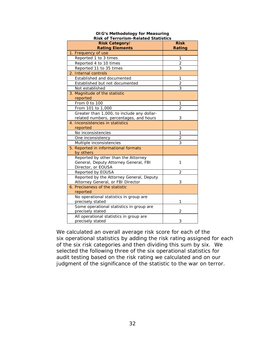| Risk Category/<br><b>Risk</b><br><b>Rating Elements</b><br>Rating<br>1. Frequency of use<br>Reported 1 to 3 times<br>1<br>$\overline{2}$<br>Reported 4 to 10 times<br>3<br>Reported 11 to 35 times<br>2. Internal controls<br>Established and documented<br>1<br>$\overline{2}$<br>Established but not documented<br>3<br>Not established<br>3. Magnitude of the statistic<br>reported<br>From 0 to 100<br>1<br>$\overline{2}$<br>From 101 to 1,000<br>Greater than 1,000, to include any dollar-<br>3<br>related numbers, percentages, and hours<br>4. Inconsistencies in statistics<br>reported<br>No inconsistencies<br>1<br>$\overline{2}$<br>One inconsistency<br>3<br>Multiple inconsistencies<br>5. Reported in informational formats<br>by others<br>Reported by other than the Attorney<br>General, Deputy Attorney General, FBI<br>1<br>Director, or EOUSA<br>Reported by EOUSA<br>$\overline{2}$<br>Reported by the Attorney General, Deputy<br>Attorney General, or FBI Director<br>3<br>6. Preciseness of the statistic<br>reported<br>No operational statistics in group are<br>precisely stated<br>1<br>Some operational statistics in group are<br>precisely stated<br>2<br>All operational statistics in group are | RISK OF TEFFOFISM-REIATED STATISTICS |   |
|-------------------------------------------------------------------------------------------------------------------------------------------------------------------------------------------------------------------------------------------------------------------------------------------------------------------------------------------------------------------------------------------------------------------------------------------------------------------------------------------------------------------------------------------------------------------------------------------------------------------------------------------------------------------------------------------------------------------------------------------------------------------------------------------------------------------------------------------------------------------------------------------------------------------------------------------------------------------------------------------------------------------------------------------------------------------------------------------------------------------------------------------------------------------------------------------------------------------------------------|--------------------------------------|---|
|                                                                                                                                                                                                                                                                                                                                                                                                                                                                                                                                                                                                                                                                                                                                                                                                                                                                                                                                                                                                                                                                                                                                                                                                                                     |                                      |   |
|                                                                                                                                                                                                                                                                                                                                                                                                                                                                                                                                                                                                                                                                                                                                                                                                                                                                                                                                                                                                                                                                                                                                                                                                                                     |                                      |   |
|                                                                                                                                                                                                                                                                                                                                                                                                                                                                                                                                                                                                                                                                                                                                                                                                                                                                                                                                                                                                                                                                                                                                                                                                                                     |                                      |   |
|                                                                                                                                                                                                                                                                                                                                                                                                                                                                                                                                                                                                                                                                                                                                                                                                                                                                                                                                                                                                                                                                                                                                                                                                                                     |                                      |   |
|                                                                                                                                                                                                                                                                                                                                                                                                                                                                                                                                                                                                                                                                                                                                                                                                                                                                                                                                                                                                                                                                                                                                                                                                                                     |                                      |   |
|                                                                                                                                                                                                                                                                                                                                                                                                                                                                                                                                                                                                                                                                                                                                                                                                                                                                                                                                                                                                                                                                                                                                                                                                                                     |                                      |   |
|                                                                                                                                                                                                                                                                                                                                                                                                                                                                                                                                                                                                                                                                                                                                                                                                                                                                                                                                                                                                                                                                                                                                                                                                                                     |                                      |   |
|                                                                                                                                                                                                                                                                                                                                                                                                                                                                                                                                                                                                                                                                                                                                                                                                                                                                                                                                                                                                                                                                                                                                                                                                                                     |                                      |   |
|                                                                                                                                                                                                                                                                                                                                                                                                                                                                                                                                                                                                                                                                                                                                                                                                                                                                                                                                                                                                                                                                                                                                                                                                                                     |                                      |   |
|                                                                                                                                                                                                                                                                                                                                                                                                                                                                                                                                                                                                                                                                                                                                                                                                                                                                                                                                                                                                                                                                                                                                                                                                                                     |                                      |   |
|                                                                                                                                                                                                                                                                                                                                                                                                                                                                                                                                                                                                                                                                                                                                                                                                                                                                                                                                                                                                                                                                                                                                                                                                                                     |                                      |   |
|                                                                                                                                                                                                                                                                                                                                                                                                                                                                                                                                                                                                                                                                                                                                                                                                                                                                                                                                                                                                                                                                                                                                                                                                                                     |                                      |   |
|                                                                                                                                                                                                                                                                                                                                                                                                                                                                                                                                                                                                                                                                                                                                                                                                                                                                                                                                                                                                                                                                                                                                                                                                                                     |                                      |   |
|                                                                                                                                                                                                                                                                                                                                                                                                                                                                                                                                                                                                                                                                                                                                                                                                                                                                                                                                                                                                                                                                                                                                                                                                                                     |                                      |   |
|                                                                                                                                                                                                                                                                                                                                                                                                                                                                                                                                                                                                                                                                                                                                                                                                                                                                                                                                                                                                                                                                                                                                                                                                                                     |                                      |   |
|                                                                                                                                                                                                                                                                                                                                                                                                                                                                                                                                                                                                                                                                                                                                                                                                                                                                                                                                                                                                                                                                                                                                                                                                                                     |                                      |   |
|                                                                                                                                                                                                                                                                                                                                                                                                                                                                                                                                                                                                                                                                                                                                                                                                                                                                                                                                                                                                                                                                                                                                                                                                                                     |                                      |   |
|                                                                                                                                                                                                                                                                                                                                                                                                                                                                                                                                                                                                                                                                                                                                                                                                                                                                                                                                                                                                                                                                                                                                                                                                                                     |                                      |   |
|                                                                                                                                                                                                                                                                                                                                                                                                                                                                                                                                                                                                                                                                                                                                                                                                                                                                                                                                                                                                                                                                                                                                                                                                                                     |                                      |   |
|                                                                                                                                                                                                                                                                                                                                                                                                                                                                                                                                                                                                                                                                                                                                                                                                                                                                                                                                                                                                                                                                                                                                                                                                                                     |                                      |   |
|                                                                                                                                                                                                                                                                                                                                                                                                                                                                                                                                                                                                                                                                                                                                                                                                                                                                                                                                                                                                                                                                                                                                                                                                                                     |                                      |   |
|                                                                                                                                                                                                                                                                                                                                                                                                                                                                                                                                                                                                                                                                                                                                                                                                                                                                                                                                                                                                                                                                                                                                                                                                                                     |                                      |   |
|                                                                                                                                                                                                                                                                                                                                                                                                                                                                                                                                                                                                                                                                                                                                                                                                                                                                                                                                                                                                                                                                                                                                                                                                                                     |                                      |   |
|                                                                                                                                                                                                                                                                                                                                                                                                                                                                                                                                                                                                                                                                                                                                                                                                                                                                                                                                                                                                                                                                                                                                                                                                                                     |                                      |   |
|                                                                                                                                                                                                                                                                                                                                                                                                                                                                                                                                                                                                                                                                                                                                                                                                                                                                                                                                                                                                                                                                                                                                                                                                                                     |                                      |   |
|                                                                                                                                                                                                                                                                                                                                                                                                                                                                                                                                                                                                                                                                                                                                                                                                                                                                                                                                                                                                                                                                                                                                                                                                                                     |                                      |   |
|                                                                                                                                                                                                                                                                                                                                                                                                                                                                                                                                                                                                                                                                                                                                                                                                                                                                                                                                                                                                                                                                                                                                                                                                                                     |                                      |   |
|                                                                                                                                                                                                                                                                                                                                                                                                                                                                                                                                                                                                                                                                                                                                                                                                                                                                                                                                                                                                                                                                                                                                                                                                                                     |                                      |   |
|                                                                                                                                                                                                                                                                                                                                                                                                                                                                                                                                                                                                                                                                                                                                                                                                                                                                                                                                                                                                                                                                                                                                                                                                                                     |                                      |   |
|                                                                                                                                                                                                                                                                                                                                                                                                                                                                                                                                                                                                                                                                                                                                                                                                                                                                                                                                                                                                                                                                                                                                                                                                                                     |                                      |   |
|                                                                                                                                                                                                                                                                                                                                                                                                                                                                                                                                                                                                                                                                                                                                                                                                                                                                                                                                                                                                                                                                                                                                                                                                                                     |                                      |   |
|                                                                                                                                                                                                                                                                                                                                                                                                                                                                                                                                                                                                                                                                                                                                                                                                                                                                                                                                                                                                                                                                                                                                                                                                                                     |                                      |   |
|                                                                                                                                                                                                                                                                                                                                                                                                                                                                                                                                                                                                                                                                                                                                                                                                                                                                                                                                                                                                                                                                                                                                                                                                                                     |                                      |   |
|                                                                                                                                                                                                                                                                                                                                                                                                                                                                                                                                                                                                                                                                                                                                                                                                                                                                                                                                                                                                                                                                                                                                                                                                                                     |                                      |   |
|                                                                                                                                                                                                                                                                                                                                                                                                                                                                                                                                                                                                                                                                                                                                                                                                                                                                                                                                                                                                                                                                                                                                                                                                                                     |                                      |   |
|                                                                                                                                                                                                                                                                                                                                                                                                                                                                                                                                                                                                                                                                                                                                                                                                                                                                                                                                                                                                                                                                                                                                                                                                                                     |                                      |   |
|                                                                                                                                                                                                                                                                                                                                                                                                                                                                                                                                                                                                                                                                                                                                                                                                                                                                                                                                                                                                                                                                                                                                                                                                                                     | precisely stated                     | 3 |

#### **OIG's Methodology for Measuring Risk of Terrorism-Related Statistics**

We calculated an overall average risk score for each of the six operational statistics by adding the risk rating assigned for each of the six risk categories and then dividing this sum by six. We selected the following three of the six operational statistics for audit testing based on the risk rating we calculated and on our judgment of the significance of the statistic to the war on terror.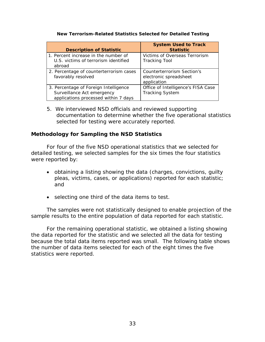#### **New Terrorism-Related Statistics Selected for Detailed Testing**

| <b>Description of Statistic</b>                                                                             | <b>System Used to Track</b><br><b>Statistic</b>                     |
|-------------------------------------------------------------------------------------------------------------|---------------------------------------------------------------------|
| 1. Percent increase in the number of<br>U.S. victims of terrorism identified<br>abroad                      | Victims of Overseas Terrorism<br><b>Tracking Tool</b>               |
| 2. Percentage of counterterrorism cases<br>favorably resolved                                               | Counterterrorism Section's<br>electronic spreadsheet<br>application |
| 3. Percentage of Foreign Intelligence<br>Surveillance Act emergency<br>applications processed within 7 days | Office of Intelligence's FISA Case<br><b>Tracking System</b>        |

5. We interviewed NSD officials and reviewed supporting documentation to determine whether the five operational statistics selected for testing were accurately reported.

## **Methodology for Sampling the NSD Statistics**

For four of the five NSD operational statistics that we selected for detailed testing, we selected samples for the six times the four statistics were reported by:

- obtaining a listing showing the data (charges, convictions, guilty pleas, victims, cases, or applications) reported for each statistic; and
- selecting one third of the data items to test.

The samples were not statistically designed to enable projection of the sample results to the entire population of data reported for each statistic.

For the remaining operational statistic, we obtained a listing showing the data reported for the statistic and we selected all the data for testing because the total data items reported was small. The following table shows the number of data items selected for each of the eight times the five statistics were reported.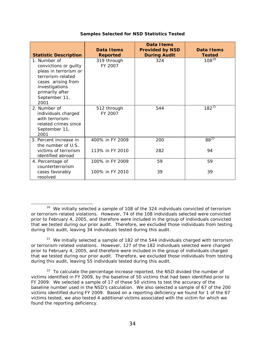| <b>Statistic Description</b>                                                                                                                                            | Data I tems<br><b>Reported</b>     | Data I tems<br><b>Provided by NSD</b><br><b>During Audit</b> | Data I tems<br><b>Tested</b> |
|-------------------------------------------------------------------------------------------------------------------------------------------------------------------------|------------------------------------|--------------------------------------------------------------|------------------------------|
| 1. Number of<br>convictions or guilty<br>pleas in terrorism or<br>terrorism-related<br>cases arising from<br>investigations<br>primarily after<br>September 11,<br>2001 | 319 through<br>FY 2007             | 324                                                          | $108^{20}$                   |
| 2. Number of<br>individuals charged<br>with terrorism-<br>related crimes since<br>September 11,<br>2001                                                                 | 512 through<br>FY 2007             | 544                                                          | $182^{21}$                   |
| 3. Percent increase in<br>the number of U.S.<br>victims of terrorism<br>identified abroad                                                                               | 400% in FY 2009<br>113% in FY 2010 | 200<br>282                                                   | $88^{22}$<br>94              |
| 4. Percentage of<br>counterterrorism<br>cases favorably<br>resolved                                                                                                     | 100% in FY 2009<br>100% in FY 2010 | 59<br>39                                                     | 59<br>39                     |

#### **Samples Selected for NSD Statistics Tested**

<span id="page-38-0"></span> $\overline{a}$  $20$  We initially selected a sample of 108 of the 324 individuals convicted of terrorism or terrorism-related violations. However, 74 of the 108 individuals selected were convicted prior to February 4, 2005, and therefore were included in the group of individuals convicted that we tested during our prior audit. Therefore, we excluded those individuals from testing during this audit, leaving 34 individuals tested during this audit.

<span id="page-38-1"></span> $21$  We initially selected a sample of 182 of the 544 individuals charged with terrorism or terrorism-related violations. However, 127 of the 182 individuals selected were charged prior to February 4, 2005, and therefore were included in the group of individuals charged that we tested during our prior audit. Therefore, we excluded those individuals from testing during this audit, leaving 55 individuals tested during this audit.

<span id="page-38-2"></span> $22$  To calculate the percentage increase reported, the NSD divided the number of victims identified in FY 2009, by the baseline of 50 victims that had been identified prior to FY 2009. We selected a sample of 17 of these 50 victims to test the accuracy of the baseline number used in the NSD's calculation. We also selected a sample of 67 of the 200 victims identified during FY 2009. Based on a reporting deficiency we found for 1 of the 67 victims tested, we also tested 4 additional victims associated with the victim for which we found the reporting deficiency.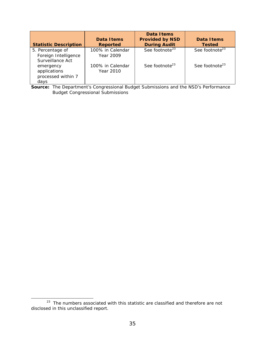| <b>Statistic Description</b>                                 | Data I tems<br><b>Reported</b> | Data I tems<br><b>Provided by NSD</b><br><b>During Audit</b> | Data Items<br><b>Tested</b> |
|--------------------------------------------------------------|--------------------------------|--------------------------------------------------------------|-----------------------------|
| 5. Percentage of<br>Foreign Intelligence<br>Surveillance Act | 100% in Calendar<br>Year 2009  | See footnote <sup>23</sup>                                   | See footnote <sup>23</sup>  |
| emergency<br>applications<br>processed within 7<br>days      | 100% in Calendar<br>Year 2010  | See footnote <sup>23</sup>                                   | See footnote <sup>23</sup>  |

**Source:** The Department's Congressional Budget Submissions and the NSD's Performance Budget Congressional Submissions

<span id="page-39-0"></span> $23$  The numbers associated with this statistic are classified and therefore are not disclosed in this unclassified report.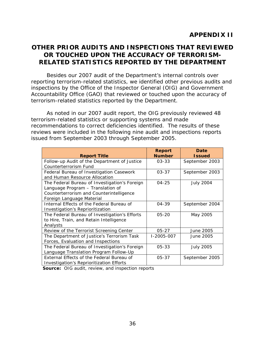# **OTHER PRIOR AUDITS AND INSPECTIONS THAT REVIEWED OR TOUCHED UPON THE ACCURACY OF TERRORISM-RELATED STATISTICS REPORTED BY THE DEPARTMENT**

Besides our 2007 audit of the Department's internal controls over reporting terrorism-related statistics, we identified other previous audits and inspections by the Office of the Inspector General (OIG) and Government Accountability Office (GAO) that reviewed or touched upon the accuracy of terrorism-related statistics reported by the Department.

As noted in our 2007 audit report, the OIG previously reviewed 48 terrorism-related statistics or supporting systems and made recommendations to correct deficiencies identified. The results of these reviews were included in the following nine audit and inspections reports issued from September 2003 through September 2005.

| <b>Report Title</b>                                                                                                                                         | <b>Report</b><br><b>Number</b> | Date<br><b>Issued</b> |
|-------------------------------------------------------------------------------------------------------------------------------------------------------------|--------------------------------|-----------------------|
| Follow-up Audit of the Department of Justice<br>Counterterrorism Fund                                                                                       | $03 - 33$                      | September 2003        |
| Federal Bureau of Investigation Casework<br>and Human Resource Allocation                                                                                   | $03 - 37$                      | September 2003        |
| The Federal Bureau of Investigation's Foreign<br>Language Program - Translation of<br>Counterterrorism and Counterintelligence<br>Foreign Language Material | $04 - 25$                      | <b>July 2004</b>      |
| Internal Effects of the Federal Bureau of<br>Investigation's Reprioritization                                                                               | $04 - 39$                      | September 2004        |
| The Federal Bureau of Investigation's Efforts<br>to Hire, Train, and Retain Intelligence<br>Analysts                                                        | $05 - 20$                      | May 2005              |
| Review of the Terrorist Screening Center                                                                                                                    | $05 - 27$                      | June 2005             |
| The Department of Justice's Terrorism Task<br>Forces, Evaluation and Inspections                                                                            | I-2005-007                     | June 2005             |
| The Federal Bureau of Investigation's Foreign<br>Language Translation Program Follow-Up                                                                     | $05 - 33$                      | <b>July 2005</b>      |
| External Effects of the Federal Bureau of<br><b>Investigation's Reprioritization Efforts</b>                                                                | $05 - 37$                      | September 2005        |

**Source:** OIG audit, review, and inspection reports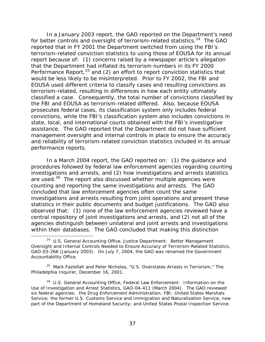In a January 2003 report, the GAO reported on the Department's need for better controls and oversight of terrorism-related statistics. $24$  The GAO reported that in FY 2001 the Department switched from using the FBI's terrorism-related conviction statistics to using those of EOUSA for its annual report because of: (1) concerns raised by a newspaper article's allegation that the Department had inflated its terrorism numbers in its FY 2000 Performance Report,<sup>[25](#page-41-1)</sup> and (2) an effort to report conviction statistics that would be less likely to be misinterpreted. Prior to FY 2002, the FBI and EOUSA used different criteria to classify cases and resulting convictions as terrorism-related, resulting in differences in how each entity ultimately classified a case. Consequently, the total number of convictions classified by the FBI and EOUSA as terrorism-related differed. Also, because EOUSA prosecutes federal cases, its classification system only includes federal convictions, while the FBI's classification system also includes convictions in state, local, and international courts obtained with the FBI's investigative assistance. The GAO reported that the Department did not have sufficient management oversight and internal controls in place to ensure the accuracy and reliability of terrorism-related conviction statistics included in its annual performance reports.

In a March 2004 report, the GAO reported on: (1) the guidance and procedures followed by federal law enforcement agencies regarding counting investigations and arrests, and (2) how investigations and arrests statistics are used.<sup>[26](#page-41-2)</sup> The report also discussed whether multiple agencies were counting and reporting the same investigations and arrests. The GAO concluded that law enforcement agencies often count the same investigations and arrests resulting from joint operations and present these statistics in their public documents and budget justifications. The GAO also observed that: (1) none of the law enforcement agencies reviewed have a central repository of joint investigations and arrests, and (2) not all of the agencies distinguish between unilateral and joint arrests and investigations within their databases. The GAO concluded that making this distinction

<span id="page-41-0"></span><sup>24</sup> U.S. General Accounting Office, *Justice Department: Better Management Oversight and Internal Controls Needed to Ensure Accuracy of Terrorism-Related Statistics,* GAO-03-266 (January 2003). On July 7, 2004, the GAO was renamed the Government Accountability Office.

<span id="page-41-1"></span><sup>25</sup> Mark Fazlollah and Peter Nicholas, "U.S. Overstates Arrests in Terrorism," *The Philadelphia Inquirer*, December 16, 2001.

<span id="page-41-2"></span><sup>26</sup> U.S. General Accounting Office, *Federal Law Enforcement: Information on the Use of Investigation and Arrest Statistics,* GAO-04-411 (March 2004). The GAO reviewed six federal agencies: the Drug Enforcement Administration; FBI; United States Marshals Service; the former U.S. Customs Service and Immigration and Naturalization Service, now part of the Department of Homeland Security; and United States Postal Inspection Service.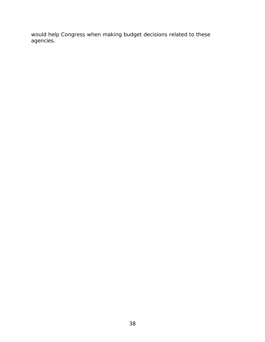would help Congress when making budget decisions related to these agencies.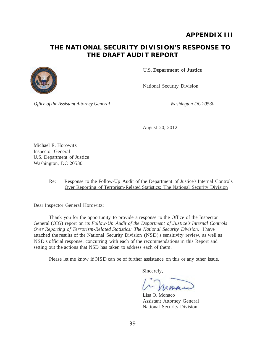# **APPENDIX III**

# **THE NATIONAL SECURITY DIVISION'S RESPONSE TO THE DRAFT AUDIT REPORT**



U.S. **Department of Justice**

National Security Division

*Office of the Assistant Attorney General Washington DC 20530*

August 20, 2012

Michael E. Horowitz Inspector General U.S. Department of Justice Washington, DC 20530

#### Re: Response to the Follow-Up Audit of the Department of Justice's Internal Controls Over Reporting of Terrorism-Related Statistics: The National Security Division

Dear Inspector General Horowitz:

Thank you for the opportunity to provide a response to the Office of the Inspector General (OIG) report on its *Follow-Up Audit of the Department of Justice's Internal Controls Over Reporting of Terrorism-Related Statistics: The National Security Division.* I have attached the results of the National Security Division (NSD)'s sensitivity review, as well as NSD's official response, concurring with each of the recommendations in this Report and setting out the actions that NSD has taken to address each of them.

Please let me know if NSD can be of further assistance on this or any other issue.

Sincerely,

Lisa O. Monaco Assistant Attorney General National Security Division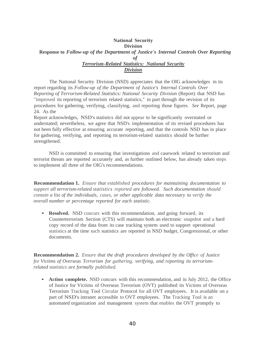#### **National Security Division Response to** *Follow-up of the Department of Justice's Internal Controls Over Reporting of Terrorism-Related Statistics: National Security Division*

The National Security Division (NSD) appreciates that the OIG acknowledges in its report regarding its *Follow-up of the Department of Justice's Internal Controls Over Reporting of Terrorism-Related Statistics: National Security Division* (Report) that NSD has "improved its reporting of terrorism related statistics," in part through the revision of its procedures for gathering, verifying, classifying, and reporting those figures. *See* Report, page 24. As the

Report acknowledges, NSD's statistics did not appear to be significantly overstated or understated; nevertheless, we agree that NSD's implementation of its revised procedures has not been fully effective at ensuring accurate reporting, and that the controls NSD has in place for gathering, verifying, and reporting its terrorism-related statistics should be further strengthened.

NSD is committed to ensuring that investigations and casework related to terrorism and terrorist threats are reported accurately and, as further outlined below, has already taken steps to implement all three of the OIG's recommendations.

**Recommendation 1.** *Ensure that established procedures for maintaining documentation to support all terrorism-related statistics reported are followed. Such documentation should contain a list of the individuals, cases, or other applicable data necessary to verify the overall number or percentage reported for each statistic.*

• **Resolved.** NSD concurs with this recommendation, and going forward, its Counterterrorism Section (CTS) will maintain both an electronic snapshot and a hard copy record of the data from its case tracking system used to support operational statistics at the time such statistics are reported in NSD budget, Congressional, or other documents.

**Recommendation 2.** *Ensure that the draft procedures developed by the Office of Justice* for Victims of Overseas Terrorism for gathering, verifying, and reporting its *terrorismrelated statistics are formally published.*

• **Action complete.** NSD concurs with this recommendation, and in July 2012, the Office of Justice for Victims of Overseas Terrorism (OVT) published its Victims of Overseas Terrorism Tracking Tool Circular Protocol for all OVT employees. It is available on a part of NSD's intranet accessible to OVT employees. The Tracking Tool is an automated organization and management system that enables the OVT promptly to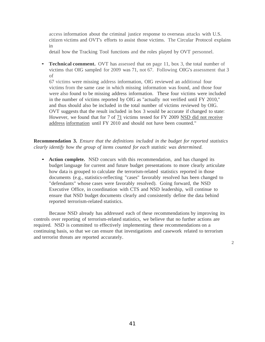access information about the criminal justice response to overseas attacks with U.S. citizen victims and OVT's efforts to assist those victims. The Circular Protocol explains in

detail how the Tracking Tool functions and the roles played by OVT personnel.

**Technical comment.** OVT has assessed that on page 11, box 3, the total number of victims that OIG sampled for 2009 was 71, not 67. Following OIG's assessment that 3 of

67 victims were missing address information, OIG reviewed an additional four victims from the same case in which missing information was found, and those four were also found to be missing address information. These four victims were included in the number of victims reported by OIG as "actually not verified until FY 2010," and thus should also be included in the total number of victims reviewed by OIG. OVT suggests that the result included in box 3 would be accurate if changed to state: However, we found that for 7 of 71 victims tested for FY 2009 NSD did not receive address information until FY 2010 and should not have been counted."

**Recommendation 3.** *Ensure that the definitions included in the budget for reported statistics clearly identify how the group of items counted for each statistic was determined.*

• **Action complete.** NSD concurs with this recommendation, and has changed its budget language for current and future budget presentations to more clearly articulate how data is grouped to calculate the terrorism-related statistics reported in those documents (e.g., statistics-reflecting "cases" favorably resolved has been changed to "defendants" whose cases were favorably resolved). Going forward, the NSD Executive Office, in coordination with CTS and NSD leadership, will continue to ensure that NSD budget documents clearly and consistently define the data behind reported terrorism-related statistics.

Because NSD already has addressed each of these recommendations by improving its controls over reporting of terrorism-related statistics, we believe that no further actions are required. NSD is committed to effectively implementing these recommendations on a continuing basis, so that we can ensure that investigations and casework related to terrorism and terrorist threats are reported accurately.

2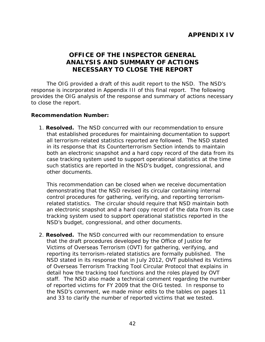# **APPENDIX IV**

# **OFFICE OF THE INSPECTOR GENERAL ANALYSIS AND SUMMARY OF ACTIONS NECESSARY TO CLOSE THE REPORT**

The OIG provided a draft of this audit report to the NSD. The NSD's response is incorporated in Appendix III of this final report. The following provides the OIG analysis of the response and summary of actions necessary to close the report.

#### **Recommendation Number:**

1. **Resolved.** The NSD concurred with our recommendation to ensure that established procedures for maintaining documentation to support all terrorism-related statistics reported are followed. The NSD stated in its response that its Counterterrorism Section intends to maintain both an electronic snapshot and a hard copy record of the data from its case tracking system used to support operational statistics at the time such statistics are reported in the NSD's budget, congressional, and other documents.

This recommendation can be closed when we receive documentation demonstrating that the NSD revised its circular containing internal control procedures for gathering, verifying, and reporting terrorismrelated statistics. The circular should require that NSD maintain both an electronic snapshot and a hard copy record of the data from its case tracking system used to support operational statistics reported in the NSD's budget, congressional, and other documents.

2. **Resolved.** The NSD concurred with our recommendation to ensure that the draft procedures developed by the Office of Justice for Victims of Overseas Terrorism (OVT) for gathering, verifying, and reporting its terrorism-related statistics are formally published. The NSD stated in its response that in July 2012, OVT published its Victims of Overseas Terrorism Tracking Tool Circular Protocol that explains in detail how the tracking tool functions and the roles played by OVT staff. The NSD also made a technical comment regarding the number of reported victims for FY 2009 that the OIG tested. In response to the NSD's comment, we made minor edits to the tables on pages 11 and 33 to clarify the number of reported victims that we tested.